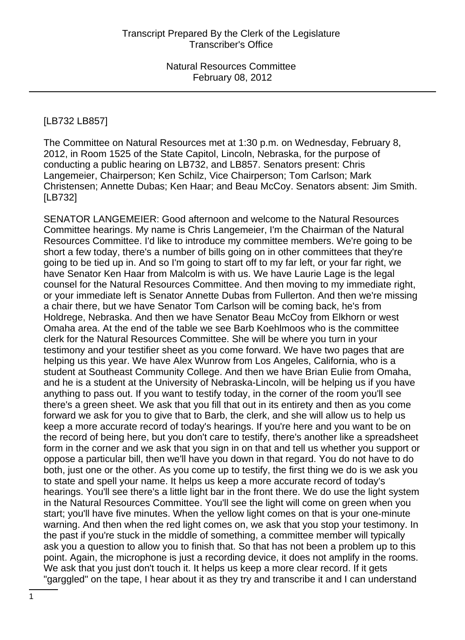#### [LB732 LB857]

The Committee on Natural Resources met at 1:30 p.m. on Wednesday, February 8, 2012, in Room 1525 of the State Capitol, Lincoln, Nebraska, for the purpose of conducting a public hearing on LB732, and LB857. Senators present: Chris Langemeier, Chairperson; Ken Schilz, Vice Chairperson; Tom Carlson; Mark Christensen; Annette Dubas; Ken Haar; and Beau McCoy. Senators absent: Jim Smith. [LB732]

SENATOR LANGEMEIER: Good afternoon and welcome to the Natural Resources Committee hearings. My name is Chris Langemeier, I'm the Chairman of the Natural Resources Committee. I'd like to introduce my committee members. We're going to be short a few today, there's a number of bills going on in other committees that they're going to be tied up in. And so I'm going to start off to my far left, or your far right, we have Senator Ken Haar from Malcolm is with us. We have Laurie Lage is the legal counsel for the Natural Resources Committee. And then moving to my immediate right, or your immediate left is Senator Annette Dubas from Fullerton. And then we're missing a chair there, but we have Senator Tom Carlson will be coming back, he's from Holdrege, Nebraska. And then we have Senator Beau McCoy from Elkhorn or west Omaha area. At the end of the table we see Barb Koehlmoos who is the committee clerk for the Natural Resources Committee. She will be where you turn in your testimony and your testifier sheet as you come forward. We have two pages that are helping us this year. We have Alex Wunrow from Los Angeles, California, who is a student at Southeast Community College. And then we have Brian Eulie from Omaha, and he is a student at the University of Nebraska-Lincoln, will be helping us if you have anything to pass out. If you want to testify today, in the corner of the room you'll see there's a green sheet. We ask that you fill that out in its entirety and then as you come forward we ask for you to give that to Barb, the clerk, and she will allow us to help us keep a more accurate record of today's hearings. If you're here and you want to be on the record of being here, but you don't care to testify, there's another like a spreadsheet form in the corner and we ask that you sign in on that and tell us whether you support or oppose a particular bill, then we'll have you down in that regard. You do not have to do both, just one or the other. As you come up to testify, the first thing we do is we ask you to state and spell your name. It helps us keep a more accurate record of today's hearings. You'll see there's a little light bar in the front there. We do use the light system in the Natural Resources Committee. You'll see the light will come on green when you start; you'll have five minutes. When the yellow light comes on that is your one-minute warning. And then when the red light comes on, we ask that you stop your testimony. In the past if you're stuck in the middle of something, a committee member will typically ask you a question to allow you to finish that. So that has not been a problem up to this point. Again, the microphone is just a recording device, it does not amplify in the rooms. We ask that you just don't touch it. It helps us keep a more clear record. If it gets "garggled" on the tape, I hear about it as they try and transcribe it and I can understand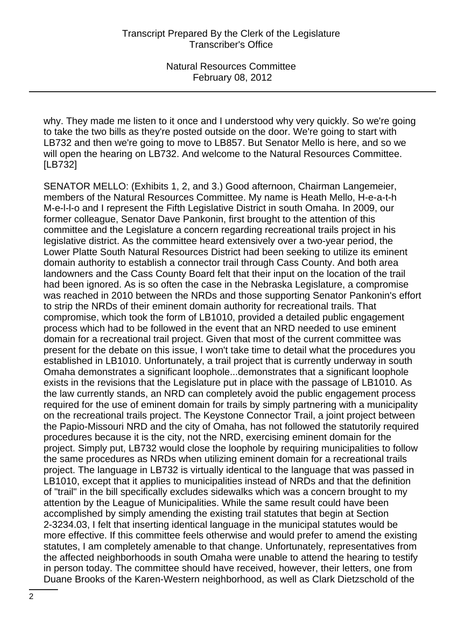why. They made me listen to it once and I understood why very quickly. So we're going to take the two bills as they're posted outside on the door. We're going to start with LB732 and then we're going to move to LB857. But Senator Mello is here, and so we will open the hearing on LB732. And welcome to the Natural Resources Committee. [LB732]

SENATOR MELLO: (Exhibits 1, 2, and 3.) Good afternoon, Chairman Langemeier, members of the Natural Resources Committee. My name is Heath Mello, H-e-a-t-h M-e-l-l-o and I represent the Fifth Legislative District in south Omaha. In 2009, our former colleague, Senator Dave Pankonin, first brought to the attention of this committee and the Legislature a concern regarding recreational trails project in his legislative district. As the committee heard extensively over a two-year period, the Lower Platte South Natural Resources District had been seeking to utilize its eminent domain authority to establish a connector trail through Cass County. And both area landowners and the Cass County Board felt that their input on the location of the trail had been ignored. As is so often the case in the Nebraska Legislature, a compromise was reached in 2010 between the NRDs and those supporting Senator Pankonin's effort to strip the NRDs of their eminent domain authority for recreational trails. That compromise, which took the form of LB1010, provided a detailed public engagement process which had to be followed in the event that an NRD needed to use eminent domain for a recreational trail project. Given that most of the current committee was present for the debate on this issue, I won't take time to detail what the procedures you established in LB1010. Unfortunately, a trail project that is currently underway in south Omaha demonstrates a significant loophole...demonstrates that a significant loophole exists in the revisions that the Legislature put in place with the passage of LB1010. As the law currently stands, an NRD can completely avoid the public engagement process required for the use of eminent domain for trails by simply partnering with a municipality on the recreational trails project. The Keystone Connector Trail, a joint project between the Papio-Missouri NRD and the city of Omaha, has not followed the statutorily required procedures because it is the city, not the NRD, exercising eminent domain for the project. Simply put, LB732 would close the loophole by requiring municipalities to follow the same procedures as NRDs when utilizing eminent domain for a recreational trails project. The language in LB732 is virtually identical to the language that was passed in LB1010, except that it applies to municipalities instead of NRDs and that the definition of "trail" in the bill specifically excludes sidewalks which was a concern brought to my attention by the League of Municipalities. While the same result could have been accomplished by simply amending the existing trail statutes that begin at Section 2-3234.03, I felt that inserting identical language in the municipal statutes would be more effective. If this committee feels otherwise and would prefer to amend the existing statutes, I am completely amenable to that change. Unfortunately, representatives from the affected neighborhoods in south Omaha were unable to attend the hearing to testify in person today. The committee should have received, however, their letters, one from Duane Brooks of the Karen-Western neighborhood, as well as Clark Dietzschold of the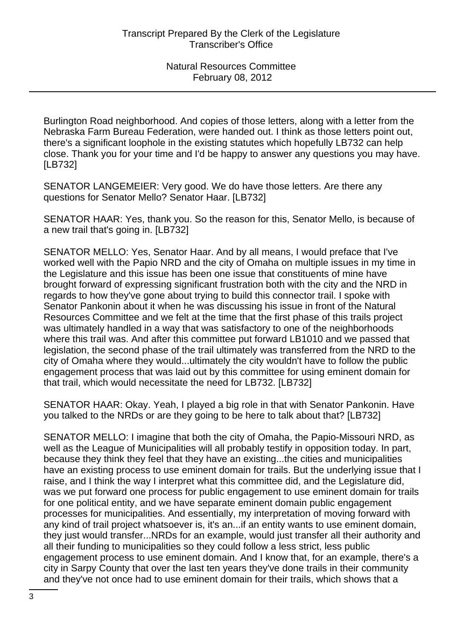Burlington Road neighborhood. And copies of those letters, along with a letter from the Nebraska Farm Bureau Federation, were handed out. I think as those letters point out, there's a significant loophole in the existing statutes which hopefully LB732 can help close. Thank you for your time and I'd be happy to answer any questions you may have. [LB732]

SENATOR LANGEMEIER: Very good. We do have those letters. Are there any questions for Senator Mello? Senator Haar. [LB732]

SENATOR HAAR: Yes, thank you. So the reason for this, Senator Mello, is because of a new trail that's going in. [LB732]

SENATOR MELLO: Yes, Senator Haar. And by all means, I would preface that I've worked well with the Papio NRD and the city of Omaha on multiple issues in my time in the Legislature and this issue has been one issue that constituents of mine have brought forward of expressing significant frustration both with the city and the NRD in regards to how they've gone about trying to build this connector trail. I spoke with Senator Pankonin about it when he was discussing his issue in front of the Natural Resources Committee and we felt at the time that the first phase of this trails project was ultimately handled in a way that was satisfactory to one of the neighborhoods where this trail was. And after this committee put forward LB1010 and we passed that legislation, the second phase of the trail ultimately was transferred from the NRD to the city of Omaha where they would...ultimately the city wouldn't have to follow the public engagement process that was laid out by this committee for using eminent domain for that trail, which would necessitate the need for LB732. [LB732]

SENATOR HAAR: Okay. Yeah, I played a big role in that with Senator Pankonin. Have you talked to the NRDs or are they going to be here to talk about that? [LB732]

SENATOR MELLO: I imagine that both the city of Omaha, the Papio-Missouri NRD, as well as the League of Municipalities will all probably testify in opposition today. In part, because they think they feel that they have an existing...the cities and municipalities have an existing process to use eminent domain for trails. But the underlying issue that I raise, and I think the way I interpret what this committee did, and the Legislature did, was we put forward one process for public engagement to use eminent domain for trails for one political entity, and we have separate eminent domain public engagement processes for municipalities. And essentially, my interpretation of moving forward with any kind of trail project whatsoever is, it's an...if an entity wants to use eminent domain, they just would transfer...NRDs for an example, would just transfer all their authority and all their funding to municipalities so they could follow a less strict, less public engagement process to use eminent domain. And I know that, for an example, there's a city in Sarpy County that over the last ten years they've done trails in their community and they've not once had to use eminent domain for their trails, which shows that a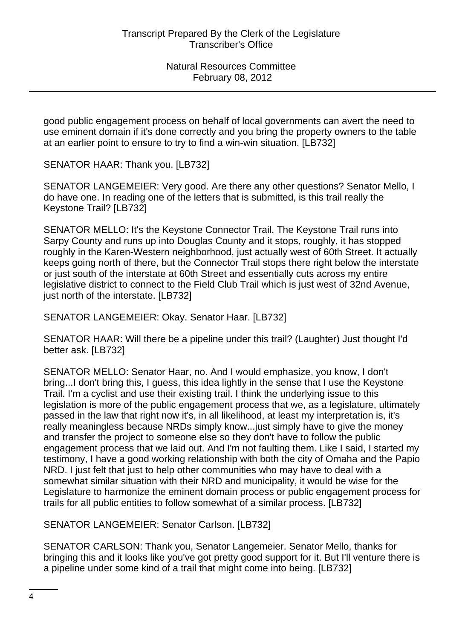good public engagement process on behalf of local governments can avert the need to use eminent domain if it's done correctly and you bring the property owners to the table at an earlier point to ensure to try to find a win-win situation. [LB732]

SENATOR HAAR: Thank you. [LB732]

SENATOR LANGEMEIER: Very good. Are there any other questions? Senator Mello, I do have one. In reading one of the letters that is submitted, is this trail really the Keystone Trail? [LB732]

SENATOR MELLO: It's the Keystone Connector Trail. The Keystone Trail runs into Sarpy County and runs up into Douglas County and it stops, roughly, it has stopped roughly in the Karen-Western neighborhood, just actually west of 60th Street. It actually keeps going north of there, but the Connector Trail stops there right below the interstate or just south of the interstate at 60th Street and essentially cuts across my entire legislative district to connect to the Field Club Trail which is just west of 32nd Avenue, just north of the interstate. [LB732]

SENATOR LANGEMEIER: Okay. Senator Haar. [LB732]

SENATOR HAAR: Will there be a pipeline under this trail? (Laughter) Just thought I'd better ask. [LB732]

SENATOR MELLO: Senator Haar, no. And I would emphasize, you know, I don't bring...I don't bring this, I guess, this idea lightly in the sense that I use the Keystone Trail. I'm a cyclist and use their existing trail. I think the underlying issue to this legislation is more of the public engagement process that we, as a legislature, ultimately passed in the law that right now it's, in all likelihood, at least my interpretation is, it's really meaningless because NRDs simply know...just simply have to give the money and transfer the project to someone else so they don't have to follow the public engagement process that we laid out. And I'm not faulting them. Like I said, I started my testimony, I have a good working relationship with both the city of Omaha and the Papio NRD. I just felt that just to help other communities who may have to deal with a somewhat similar situation with their NRD and municipality, it would be wise for the Legislature to harmonize the eminent domain process or public engagement process for trails for all public entities to follow somewhat of a similar process. [LB732]

SENATOR LANGEMEIER: Senator Carlson. [LB732]

SENATOR CARLSON: Thank you, Senator Langemeier. Senator Mello, thanks for bringing this and it looks like you've got pretty good support for it. But I'll venture there is a pipeline under some kind of a trail that might come into being. [LB732]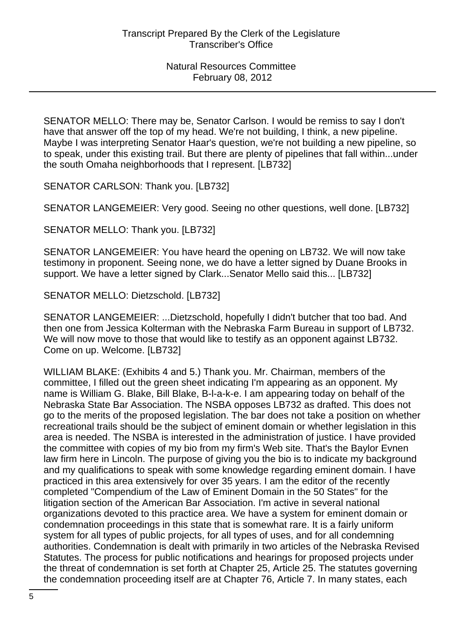SENATOR MELLO: There may be, Senator Carlson. I would be remiss to say I don't have that answer off the top of my head. We're not building, I think, a new pipeline. Maybe I was interpreting Senator Haar's question, we're not building a new pipeline, so to speak, under this existing trail. But there are plenty of pipelines that fall within...under the south Omaha neighborhoods that I represent. [LB732]

SENATOR CARLSON: Thank you. [LB732]

SENATOR LANGEMEIER: Very good. Seeing no other questions, well done. [LB732]

SENATOR MELLO: Thank you. [LB732]

SENATOR LANGEMEIER: You have heard the opening on LB732. We will now take testimony in proponent. Seeing none, we do have a letter signed by Duane Brooks in support. We have a letter signed by Clark...Senator Mello said this... [LB732]

SENATOR MELLO: Dietzschold. [LB732]

SENATOR LANGEMEIER: ...Dietzschold, hopefully I didn't butcher that too bad. And then one from Jessica Kolterman with the Nebraska Farm Bureau in support of LB732. We will now move to those that would like to testify as an opponent against LB732. Come on up. Welcome. [LB732]

WILLIAM BLAKE: (Exhibits 4 and 5.) Thank you. Mr. Chairman, members of the committee, I filled out the green sheet indicating I'm appearing as an opponent. My name is William G. Blake, Bill Blake, B-l-a-k-e. I am appearing today on behalf of the Nebraska State Bar Association. The NSBA opposes LB732 as drafted. This does not go to the merits of the proposed legislation. The bar does not take a position on whether recreational trails should be the subject of eminent domain or whether legislation in this area is needed. The NSBA is interested in the administration of justice. I have provided the committee with copies of my bio from my firm's Web site. That's the Baylor Evnen law firm here in Lincoln. The purpose of giving you the bio is to indicate my background and my qualifications to speak with some knowledge regarding eminent domain. I have practiced in this area extensively for over 35 years. I am the editor of the recently completed "Compendium of the Law of Eminent Domain in the 50 States" for the litigation section of the American Bar Association. I'm active in several national organizations devoted to this practice area. We have a system for eminent domain or condemnation proceedings in this state that is somewhat rare. It is a fairly uniform system for all types of public projects, for all types of uses, and for all condemning authorities. Condemnation is dealt with primarily in two articles of the Nebraska Revised Statutes. The process for public notifications and hearings for proposed projects under the threat of condemnation is set forth at Chapter 25, Article 25. The statutes governing the condemnation proceeding itself are at Chapter 76, Article 7. In many states, each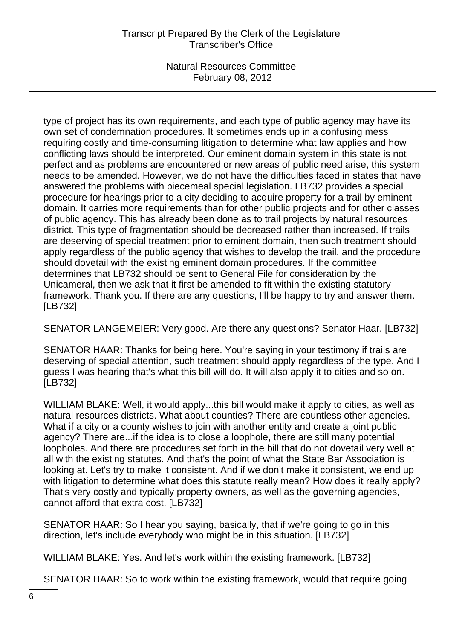type of project has its own requirements, and each type of public agency may have its own set of condemnation procedures. It sometimes ends up in a confusing mess requiring costly and time-consuming litigation to determine what law applies and how conflicting laws should be interpreted. Our eminent domain system in this state is not perfect and as problems are encountered or new areas of public need arise, this system needs to be amended. However, we do not have the difficulties faced in states that have answered the problems with piecemeal special legislation. LB732 provides a special procedure for hearings prior to a city deciding to acquire property for a trail by eminent domain. It carries more requirements than for other public projects and for other classes of public agency. This has already been done as to trail projects by natural resources district. This type of fragmentation should be decreased rather than increased. If trails are deserving of special treatment prior to eminent domain, then such treatment should apply regardless of the public agency that wishes to develop the trail, and the procedure should dovetail with the existing eminent domain procedures. If the committee determines that LB732 should be sent to General File for consideration by the Unicameral, then we ask that it first be amended to fit within the existing statutory framework. Thank you. If there are any questions, I'll be happy to try and answer them. [LB732]

SENATOR LANGEMEIER: Very good. Are there any questions? Senator Haar. [LB732]

SENATOR HAAR: Thanks for being here. You're saying in your testimony if trails are deserving of special attention, such treatment should apply regardless of the type. And I guess I was hearing that's what this bill will do. It will also apply it to cities and so on. [LB732]

WILLIAM BLAKE: Well, it would apply...this bill would make it apply to cities, as well as natural resources districts. What about counties? There are countless other agencies. What if a city or a county wishes to join with another entity and create a joint public agency? There are...if the idea is to close a loophole, there are still many potential loopholes. And there are procedures set forth in the bill that do not dovetail very well at all with the existing statutes. And that's the point of what the State Bar Association is looking at. Let's try to make it consistent. And if we don't make it consistent, we end up with litigation to determine what does this statute really mean? How does it really apply? That's very costly and typically property owners, as well as the governing agencies, cannot afford that extra cost. [LB732]

SENATOR HAAR: So I hear you saying, basically, that if we're going to go in this direction, let's include everybody who might be in this situation. [LB732]

WILLIAM BLAKE: Yes. And let's work within the existing framework. [LB732]

SENATOR HAAR: So to work within the existing framework, would that require going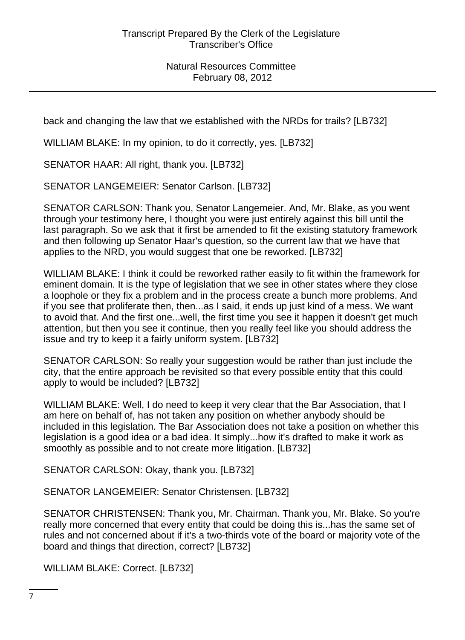back and changing the law that we established with the NRDs for trails? [LB732]

WILLIAM BLAKE: In my opinion, to do it correctly, yes. [LB732]

SENATOR HAAR: All right, thank you. [LB732]

SENATOR LANGEMEIER: Senator Carlson. [LB732]

SENATOR CARLSON: Thank you, Senator Langemeier. And, Mr. Blake, as you went through your testimony here, I thought you were just entirely against this bill until the last paragraph. So we ask that it first be amended to fit the existing statutory framework and then following up Senator Haar's question, so the current law that we have that applies to the NRD, you would suggest that one be reworked. [LB732]

WILLIAM BLAKE: I think it could be reworked rather easily to fit within the framework for eminent domain. It is the type of legislation that we see in other states where they close a loophole or they fix a problem and in the process create a bunch more problems. And if you see that proliferate then, then...as I said, it ends up just kind of a mess. We want to avoid that. And the first one...well, the first time you see it happen it doesn't get much attention, but then you see it continue, then you really feel like you should address the issue and try to keep it a fairly uniform system. [LB732]

SENATOR CARLSON: So really your suggestion would be rather than just include the city, that the entire approach be revisited so that every possible entity that this could apply to would be included? [LB732]

WILLIAM BLAKE: Well, I do need to keep it very clear that the Bar Association, that I am here on behalf of, has not taken any position on whether anybody should be included in this legislation. The Bar Association does not take a position on whether this legislation is a good idea or a bad idea. It simply...how it's drafted to make it work as smoothly as possible and to not create more litigation. [LB732]

SENATOR CARLSON: Okay, thank you. [LB732]

SENATOR LANGEMEIER: Senator Christensen. [LB732]

SENATOR CHRISTENSEN: Thank you, Mr. Chairman. Thank you, Mr. Blake. So you're really more concerned that every entity that could be doing this is...has the same set of rules and not concerned about if it's a two-thirds vote of the board or majority vote of the board and things that direction, correct? [LB732]

WILLIAM BLAKE: Correct. [LB732]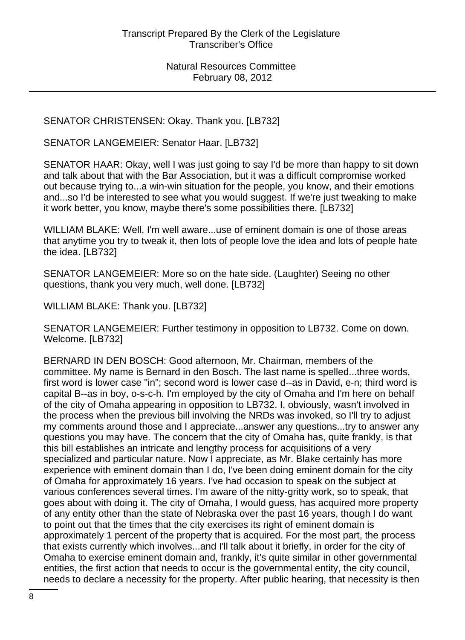SENATOR CHRISTENSEN: Okay. Thank you. [LB732]

SENATOR LANGEMEIER: Senator Haar. [LB732]

SENATOR HAAR: Okay, well I was just going to say I'd be more than happy to sit down and talk about that with the Bar Association, but it was a difficult compromise worked out because trying to...a win-win situation for the people, you know, and their emotions and...so I'd be interested to see what you would suggest. If we're just tweaking to make it work better, you know, maybe there's some possibilities there. [LB732]

WILLIAM BLAKE: Well, I'm well aware...use of eminent domain is one of those areas that anytime you try to tweak it, then lots of people love the idea and lots of people hate the idea. [LB732]

SENATOR LANGEMEIER: More so on the hate side. (Laughter) Seeing no other questions, thank you very much, well done. [LB732]

WILLIAM BLAKE: Thank you. [LB732]

SENATOR LANGEMEIER: Further testimony in opposition to LB732. Come on down. Welcome. [LB732]

BERNARD IN DEN BOSCH: Good afternoon, Mr. Chairman, members of the committee. My name is Bernard in den Bosch. The last name is spelled...three words, first word is lower case "in"; second word is lower case d--as in David, e-n; third word is capital B--as in boy, o-s-c-h. I'm employed by the city of Omaha and I'm here on behalf of the city of Omaha appearing in opposition to LB732. I, obviously, wasn't involved in the process when the previous bill involving the NRDs was invoked, so I'll try to adjust my comments around those and I appreciate...answer any questions...try to answer any questions you may have. The concern that the city of Omaha has, quite frankly, is that this bill establishes an intricate and lengthy process for acquisitions of a very specialized and particular nature. Now I appreciate, as Mr. Blake certainly has more experience with eminent domain than I do, I've been doing eminent domain for the city of Omaha for approximately 16 years. I've had occasion to speak on the subject at various conferences several times. I'm aware of the nitty-gritty work, so to speak, that goes about with doing it. The city of Omaha, I would guess, has acquired more property of any entity other than the state of Nebraska over the past 16 years, though I do want to point out that the times that the city exercises its right of eminent domain is approximately 1 percent of the property that is acquired. For the most part, the process that exists currently which involves...and I'll talk about it briefly, in order for the city of Omaha to exercise eminent domain and, frankly, it's quite similar in other governmental entities, the first action that needs to occur is the governmental entity, the city council, needs to declare a necessity for the property. After public hearing, that necessity is then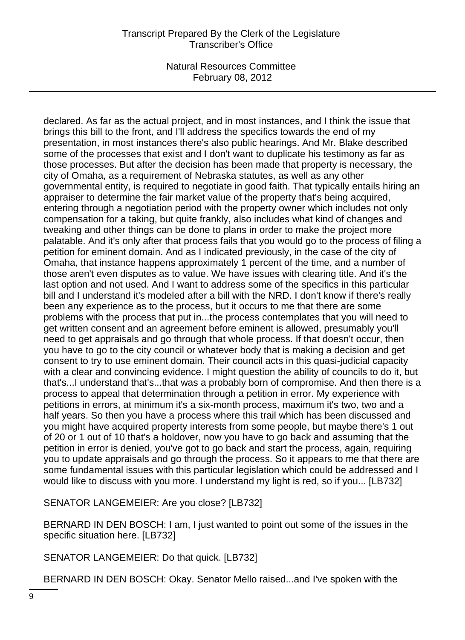declared. As far as the actual project, and in most instances, and I think the issue that brings this bill to the front, and I'll address the specifics towards the end of my presentation, in most instances there's also public hearings. And Mr. Blake described some of the processes that exist and I don't want to duplicate his testimony as far as those processes. But after the decision has been made that property is necessary, the city of Omaha, as a requirement of Nebraska statutes, as well as any other governmental entity, is required to negotiate in good faith. That typically entails hiring an appraiser to determine the fair market value of the property that's being acquired, entering through a negotiation period with the property owner which includes not only compensation for a taking, but quite frankly, also includes what kind of changes and tweaking and other things can be done to plans in order to make the project more palatable. And it's only after that process fails that you would go to the process of filing a petition for eminent domain. And as I indicated previously, in the case of the city of Omaha, that instance happens approximately 1 percent of the time, and a number of those aren't even disputes as to value. We have issues with clearing title. And it's the last option and not used. And I want to address some of the specifics in this particular bill and I understand it's modeled after a bill with the NRD. I don't know if there's really been any experience as to the process, but it occurs to me that there are some problems with the process that put in...the process contemplates that you will need to get written consent and an agreement before eminent is allowed, presumably you'll need to get appraisals and go through that whole process. If that doesn't occur, then you have to go to the city council or whatever body that is making a decision and get consent to try to use eminent domain. Their council acts in this quasi-judicial capacity with a clear and convincing evidence. I might question the ability of councils to do it, but that's...I understand that's...that was a probably born of compromise. And then there is a process to appeal that determination through a petition in error. My experience with petitions in errors, at minimum it's a six-month process, maximum it's two, two and a half years. So then you have a process where this trail which has been discussed and you might have acquired property interests from some people, but maybe there's 1 out of 20 or 1 out of 10 that's a holdover, now you have to go back and assuming that the petition in error is denied, you've got to go back and start the process, again, requiring you to update appraisals and go through the process. So it appears to me that there are some fundamental issues with this particular legislation which could be addressed and I would like to discuss with you more. I understand my light is red, so if you... [LB732]

SENATOR LANGEMEIER: Are you close? [LB732]

BERNARD IN DEN BOSCH: I am, I just wanted to point out some of the issues in the specific situation here. [LB732]

SENATOR LANGEMEIER: Do that quick. [LB732]

BERNARD IN DEN BOSCH: Okay. Senator Mello raised...and I've spoken with the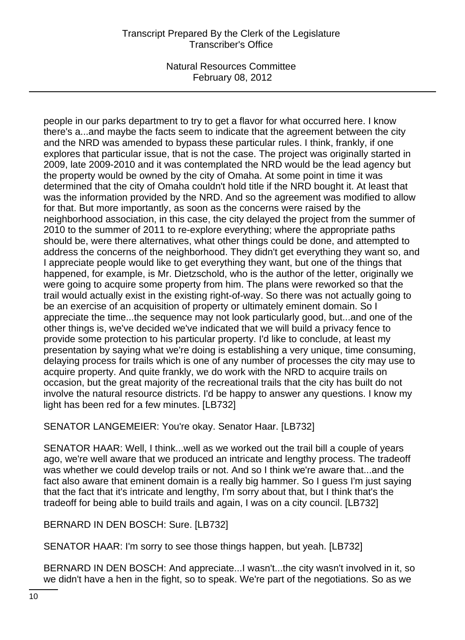# Transcript Prepared By the Clerk of the Legislature Transcriber's Office

Natural Resources Committee February 08, 2012

people in our parks department to try to get a flavor for what occurred here. I know there's a...and maybe the facts seem to indicate that the agreement between the city and the NRD was amended to bypass these particular rules. I think, frankly, if one explores that particular issue, that is not the case. The project was originally started in 2009, late 2009-2010 and it was contemplated the NRD would be the lead agency but the property would be owned by the city of Omaha. At some point in time it was determined that the city of Omaha couldn't hold title if the NRD bought it. At least that was the information provided by the NRD. And so the agreement was modified to allow for that. But more importantly, as soon as the concerns were raised by the neighborhood association, in this case, the city delayed the project from the summer of 2010 to the summer of 2011 to re-explore everything; where the appropriate paths should be, were there alternatives, what other things could be done, and attempted to address the concerns of the neighborhood. They didn't get everything they want so, and I appreciate people would like to get everything they want, but one of the things that happened, for example, is Mr. Dietzschold, who is the author of the letter, originally we were going to acquire some property from him. The plans were reworked so that the trail would actually exist in the existing right-of-way. So there was not actually going to be an exercise of an acquisition of property or ultimately eminent domain. So I appreciate the time...the sequence may not look particularly good, but...and one of the other things is, we've decided we've indicated that we will build a privacy fence to provide some protection to his particular property. I'd like to conclude, at least my presentation by saying what we're doing is establishing a very unique, time consuming, delaying process for trails which is one of any number of processes the city may use to acquire property. And quite frankly, we do work with the NRD to acquire trails on occasion, but the great majority of the recreational trails that the city has built do not involve the natural resource districts. I'd be happy to answer any questions. I know my light has been red for a few minutes. [LB732]

SENATOR LANGEMEIER: You're okay. Senator Haar. [LB732]

SENATOR HAAR: Well, I think...well as we worked out the trail bill a couple of years ago, we're well aware that we produced an intricate and lengthy process. The tradeoff was whether we could develop trails or not. And so I think we're aware that...and the fact also aware that eminent domain is a really big hammer. So I guess I'm just saying that the fact that it's intricate and lengthy, I'm sorry about that, but I think that's the tradeoff for being able to build trails and again, I was on a city council. [LB732]

BERNARD IN DEN BOSCH: Sure. [LB732]

SENATOR HAAR: I'm sorry to see those things happen, but yeah. [LB732]

BERNARD IN DEN BOSCH: And appreciate...I wasn't...the city wasn't involved in it, so we didn't have a hen in the fight, so to speak. We're part of the negotiations. So as we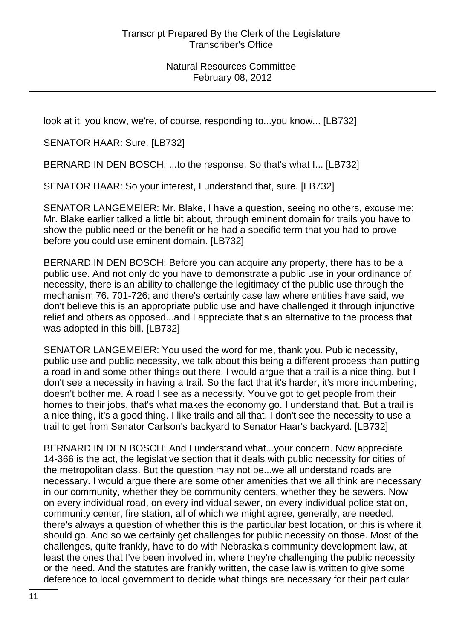look at it, you know, we're, of course, responding to...you know... [LB732]

SENATOR HAAR: Sure. [LB732]

BERNARD IN DEN BOSCH: ...to the response. So that's what I... [LB732]

SENATOR HAAR: So your interest, I understand that, sure. [LB732]

SENATOR LANGEMEIER: Mr. Blake, I have a question, seeing no others, excuse me; Mr. Blake earlier talked a little bit about, through eminent domain for trails you have to show the public need or the benefit or he had a specific term that you had to prove before you could use eminent domain. [LB732]

BERNARD IN DEN BOSCH: Before you can acquire any property, there has to be a public use. And not only do you have to demonstrate a public use in your ordinance of necessity, there is an ability to challenge the legitimacy of the public use through the mechanism 76. 701-726; and there's certainly case law where entities have said, we don't believe this is an appropriate public use and have challenged it through injunctive relief and others as opposed...and I appreciate that's an alternative to the process that was adopted in this bill. [LB732]

SENATOR LANGEMEIER: You used the word for me, thank you. Public necessity, public use and public necessity, we talk about this being a different process than putting a road in and some other things out there. I would argue that a trail is a nice thing, but I don't see a necessity in having a trail. So the fact that it's harder, it's more incumbering, doesn't bother me. A road I see as a necessity. You've got to get people from their homes to their jobs, that's what makes the economy go. I understand that. But a trail is a nice thing, it's a good thing. I like trails and all that. I don't see the necessity to use a trail to get from Senator Carlson's backyard to Senator Haar's backyard. [LB732]

BERNARD IN DEN BOSCH: And I understand what...your concern. Now appreciate 14-366 is the act, the legislative section that it deals with public necessity for cities of the metropolitan class. But the question may not be...we all understand roads are necessary. I would argue there are some other amenities that we all think are necessary in our community, whether they be community centers, whether they be sewers. Now on every individual road, on every individual sewer, on every individual police station, community center, fire station, all of which we might agree, generally, are needed, there's always a question of whether this is the particular best location, or this is where it should go. And so we certainly get challenges for public necessity on those. Most of the challenges, quite frankly, have to do with Nebraska's community development law, at least the ones that I've been involved in, where they're challenging the public necessity or the need. And the statutes are frankly written, the case law is written to give some deference to local government to decide what things are necessary for their particular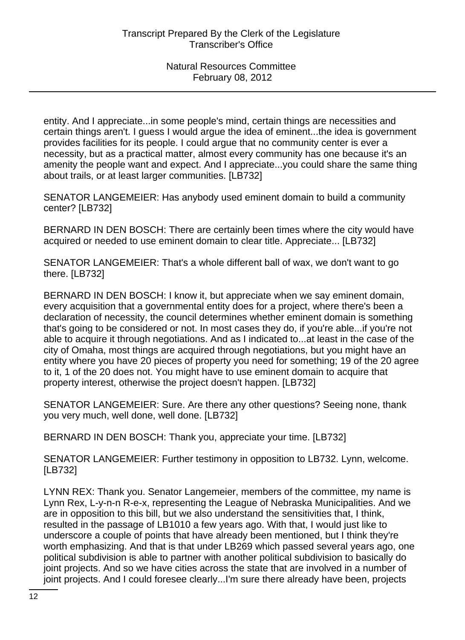entity. And I appreciate...in some people's mind, certain things are necessities and certain things aren't. I guess I would argue the idea of eminent...the idea is government provides facilities for its people. I could argue that no community center is ever a necessity, but as a practical matter, almost every community has one because it's an amenity the people want and expect. And I appreciate...you could share the same thing about trails, or at least larger communities. [LB732]

SENATOR LANGEMEIER: Has anybody used eminent domain to build a community center? [LB732]

BERNARD IN DEN BOSCH: There are certainly been times where the city would have acquired or needed to use eminent domain to clear title. Appreciate... [LB732]

SENATOR LANGEMEIER: That's a whole different ball of wax, we don't want to go there. [LB732]

BERNARD IN DEN BOSCH: I know it, but appreciate when we say eminent domain, every acquisition that a governmental entity does for a project, where there's been a declaration of necessity, the council determines whether eminent domain is something that's going to be considered or not. In most cases they do, if you're able...if you're not able to acquire it through negotiations. And as I indicated to...at least in the case of the city of Omaha, most things are acquired through negotiations, but you might have an entity where you have 20 pieces of property you need for something; 19 of the 20 agree to it, 1 of the 20 does not. You might have to use eminent domain to acquire that property interest, otherwise the project doesn't happen. [LB732]

SENATOR LANGEMEIER: Sure. Are there any other questions? Seeing none, thank you very much, well done, well done. [LB732]

BERNARD IN DEN BOSCH: Thank you, appreciate your time. [LB732]

SENATOR LANGEMEIER: Further testimony in opposition to LB732. Lynn, welcome. [LB732]

LYNN REX: Thank you. Senator Langemeier, members of the committee, my name is Lynn Rex, L-y-n-n R-e-x, representing the League of Nebraska Municipalities. And we are in opposition to this bill, but we also understand the sensitivities that, I think, resulted in the passage of LB1010 a few years ago. With that, I would just like to underscore a couple of points that have already been mentioned, but I think they're worth emphasizing. And that is that under LB269 which passed several years ago, one political subdivision is able to partner with another political subdivision to basically do joint projects. And so we have cities across the state that are involved in a number of joint projects. And I could foresee clearly...I'm sure there already have been, projects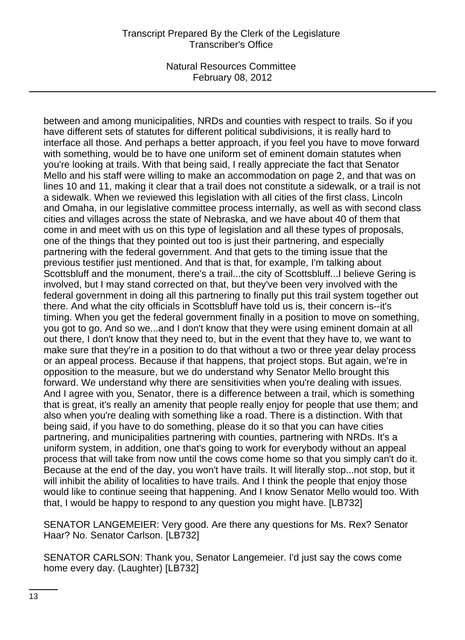between and among municipalities, NRDs and counties with respect to trails. So if you have different sets of statutes for different political subdivisions, it is really hard to interface all those. And perhaps a better approach, if you feel you have to move forward with something, would be to have one uniform set of eminent domain statutes when you're looking at trails. With that being said, I really appreciate the fact that Senator Mello and his staff were willing to make an accommodation on page 2, and that was on lines 10 and 11, making it clear that a trail does not constitute a sidewalk, or a trail is not a sidewalk. When we reviewed this legislation with all cities of the first class, Lincoln and Omaha, in our legislative committee process internally, as well as with second class cities and villages across the state of Nebraska, and we have about 40 of them that come in and meet with us on this type of legislation and all these types of proposals, one of the things that they pointed out too is just their partnering, and especially partnering with the federal government. And that gets to the timing issue that the previous testifier just mentioned. And that is that, for example, I'm talking about Scottsbluff and the monument, there's a trail...the city of Scottsbluff...I believe Gering is involved, but I may stand corrected on that, but they've been very involved with the federal government in doing all this partnering to finally put this trail system together out there. And what the city officials in Scottsbluff have told us is, their concern is--it's timing. When you get the federal government finally in a position to move on something, you got to go. And so we...and I don't know that they were using eminent domain at all out there, I don't know that they need to, but in the event that they have to, we want to make sure that they're in a position to do that without a two or three year delay process or an appeal process. Because if that happens, that project stops. But again, we're in opposition to the measure, but we do understand why Senator Mello brought this forward. We understand why there are sensitivities when you're dealing with issues. And I agree with you, Senator, there is a difference between a trail, which is something that is great, it's really an amenity that people really enjoy for people that use them; and also when you're dealing with something like a road. There is a distinction. With that being said, if you have to do something, please do it so that you can have cities partnering, and municipalities partnering with counties, partnering with NRDs. It's a uniform system, in addition, one that's going to work for everybody without an appeal process that will take from now until the cows come home so that you simply can't do it. Because at the end of the day, you won't have trails. It will literally stop...not stop, but it will inhibit the ability of localities to have trails. And I think the people that enjoy those would like to continue seeing that happening. And I know Senator Mello would too. With that, I would be happy to respond to any question you might have. [LB732]

SENATOR LANGEMEIER: Very good. Are there any questions for Ms. Rex? Senator Haar? No. Senator Carlson. [LB732]

SENATOR CARLSON: Thank you, Senator Langemeier. I'd just say the cows come home every day. (Laughter) [LB732]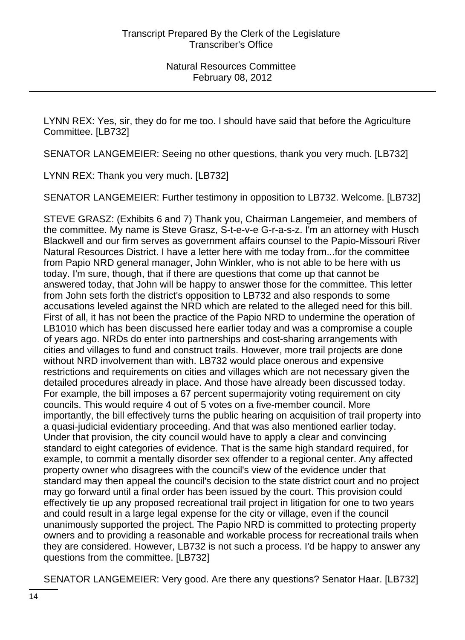LYNN REX: Yes, sir, they do for me too. I should have said that before the Agriculture Committee. [LB732]

SENATOR LANGEMEIER: Seeing no other questions, thank you very much. [LB732]

LYNN REX: Thank you very much. [LB732]

SENATOR LANGEMEIER: Further testimony in opposition to LB732. Welcome. [LB732]

STEVE GRASZ: (Exhibits 6 and 7) Thank you, Chairman Langemeier, and members of the committee. My name is Steve Grasz, S-t-e-v-e G-r-a-s-z. I'm an attorney with Husch Blackwell and our firm serves as government affairs counsel to the Papio-Missouri River Natural Resources District. I have a letter here with me today from...for the committee from Papio NRD general manager, John Winkler, who is not able to be here with us today. I'm sure, though, that if there are questions that come up that cannot be answered today, that John will be happy to answer those for the committee. This letter from John sets forth the district's opposition to LB732 and also responds to some accusations leveled against the NRD which are related to the alleged need for this bill. First of all, it has not been the practice of the Papio NRD to undermine the operation of LB1010 which has been discussed here earlier today and was a compromise a couple of years ago. NRDs do enter into partnerships and cost-sharing arrangements with cities and villages to fund and construct trails. However, more trail projects are done without NRD involvement than with. LB732 would place onerous and expensive restrictions and requirements on cities and villages which are not necessary given the detailed procedures already in place. And those have already been discussed today. For example, the bill imposes a 67 percent supermajority voting requirement on city councils. This would require 4 out of 5 votes on a five-member council. More importantly, the bill effectively turns the public hearing on acquisition of trail property into a quasi-judicial evidentiary proceeding. And that was also mentioned earlier today. Under that provision, the city council would have to apply a clear and convincing standard to eight categories of evidence. That is the same high standard required, for example, to commit a mentally disorder sex offender to a regional center. Any affected property owner who disagrees with the council's view of the evidence under that standard may then appeal the council's decision to the state district court and no project may go forward until a final order has been issued by the court. This provision could effectively tie up any proposed recreational trail project in litigation for one to two years and could result in a large legal expense for the city or village, even if the council unanimously supported the project. The Papio NRD is committed to protecting property owners and to providing a reasonable and workable process for recreational trails when they are considered. However, LB732 is not such a process. I'd be happy to answer any questions from the committee. [LB732]

SENATOR LANGEMEIER: Very good. Are there any questions? Senator Haar. [LB732]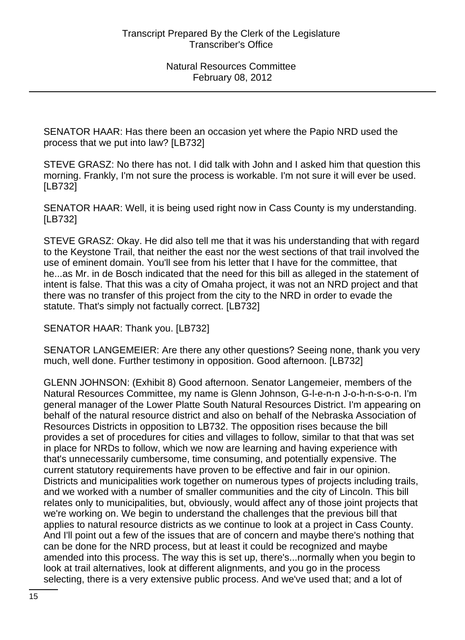SENATOR HAAR: Has there been an occasion yet where the Papio NRD used the process that we put into law? [LB732]

STEVE GRASZ: No there has not. I did talk with John and I asked him that question this morning. Frankly, I'm not sure the process is workable. I'm not sure it will ever be used. [LB732]

SENATOR HAAR: Well, it is being used right now in Cass County is my understanding. [LB732]

STEVE GRASZ: Okay. He did also tell me that it was his understanding that with regard to the Keystone Trail, that neither the east nor the west sections of that trail involved the use of eminent domain. You'll see from his letter that I have for the committee, that he...as Mr. in de Bosch indicated that the need for this bill as alleged in the statement of intent is false. That this was a city of Omaha project, it was not an NRD project and that there was no transfer of this project from the city to the NRD in order to evade the statute. That's simply not factually correct. [LB732]

SENATOR HAAR: Thank you. [LB732]

SENATOR LANGEMEIER: Are there any other questions? Seeing none, thank you very much, well done. Further testimony in opposition. Good afternoon. [LB732]

GLENN JOHNSON: (Exhibit 8) Good afternoon. Senator Langemeier, members of the Natural Resources Committee, my name is Glenn Johnson, G-l-e-n-n J-o-h-n-s-o-n. I'm general manager of the Lower Platte South Natural Resources District. I'm appearing on behalf of the natural resource district and also on behalf of the Nebraska Association of Resources Districts in opposition to LB732. The opposition rises because the bill provides a set of procedures for cities and villages to follow, similar to that that was set in place for NRDs to follow, which we now are learning and having experience with that's unnecessarily cumbersome, time consuming, and potentially expensive. The current statutory requirements have proven to be effective and fair in our opinion. Districts and municipalities work together on numerous types of projects including trails, and we worked with a number of smaller communities and the city of Lincoln. This bill relates only to municipalities, but, obviously, would affect any of those joint projects that we're working on. We begin to understand the challenges that the previous bill that applies to natural resource districts as we continue to look at a project in Cass County. And I'll point out a few of the issues that are of concern and maybe there's nothing that can be done for the NRD process, but at least it could be recognized and maybe amended into this process. The way this is set up, there's...normally when you begin to look at trail alternatives, look at different alignments, and you go in the process selecting, there is a very extensive public process. And we've used that; and a lot of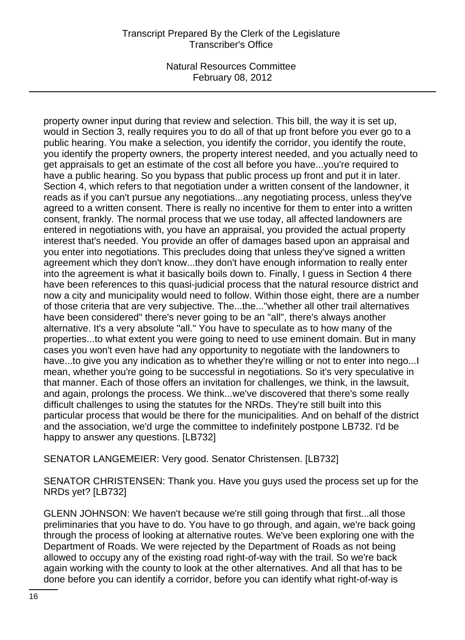property owner input during that review and selection. This bill, the way it is set up, would in Section 3, really requires you to do all of that up front before you ever go to a public hearing. You make a selection, you identify the corridor, you identify the route, you identify the property owners, the property interest needed, and you actually need to get appraisals to get an estimate of the cost all before you have...you're required to have a public hearing. So you bypass that public process up front and put it in later. Section 4, which refers to that negotiation under a written consent of the landowner, it reads as if you can't pursue any negotiations...any negotiating process, unless they've agreed to a written consent. There is really no incentive for them to enter into a written consent, frankly. The normal process that we use today, all affected landowners are entered in negotiations with, you have an appraisal, you provided the actual property interest that's needed. You provide an offer of damages based upon an appraisal and you enter into negotiations. This precludes doing that unless they've signed a written agreement which they don't know...they don't have enough information to really enter into the agreement is what it basically boils down to. Finally, I guess in Section 4 there have been references to this quasi-judicial process that the natural resource district and now a city and municipality would need to follow. Within those eight, there are a number of those criteria that are very subjective. The...the..."whether all other trail alternatives have been considered" there's never going to be an "all", there's always another alternative. It's a very absolute "all." You have to speculate as to how many of the properties...to what extent you were going to need to use eminent domain. But in many cases you won't even have had any opportunity to negotiate with the landowners to have...to give you any indication as to whether they're willing or not to enter into nego... mean, whether you're going to be successful in negotiations. So it's very speculative in that manner. Each of those offers an invitation for challenges, we think, in the lawsuit, and again, prolongs the process. We think...we've discovered that there's some really difficult challenges to using the statutes for the NRDs. They're still built into this particular process that would be there for the municipalities. And on behalf of the district and the association, we'd urge the committee to indefinitely postpone LB732. I'd be happy to answer any questions. [LB732]

SENATOR LANGEMEIER: Very good. Senator Christensen. [LB732]

SENATOR CHRISTENSEN: Thank you. Have you guys used the process set up for the NRDs yet? [LB732]

GLENN JOHNSON: We haven't because we're still going through that first...all those preliminaries that you have to do. You have to go through, and again, we're back going through the process of looking at alternative routes. We've been exploring one with the Department of Roads. We were rejected by the Department of Roads as not being allowed to occupy any of the existing road right-of-way with the trail. So we're back again working with the county to look at the other alternatives. And all that has to be done before you can identify a corridor, before you can identify what right-of-way is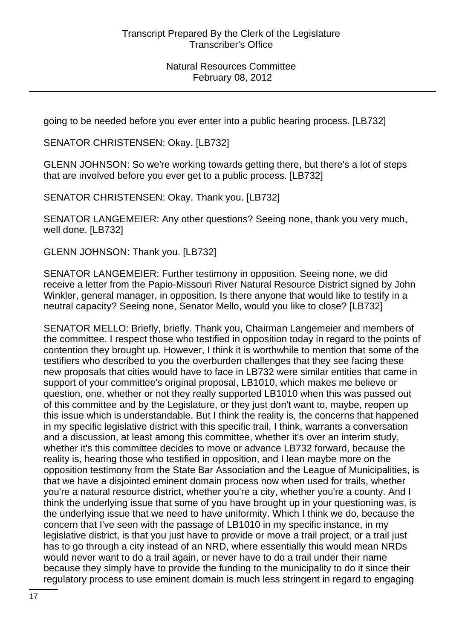going to be needed before you ever enter into a public hearing process. [LB732]

SENATOR CHRISTENSEN: Okay. [LB732]

GLENN JOHNSON: So we're working towards getting there, but there's a lot of steps that are involved before you ever get to a public process. [LB732]

SENATOR CHRISTENSEN: Okay. Thank you. [LB732]

SENATOR LANGEMEIER: Any other questions? Seeing none, thank you very much, well done. [LB732]

GLENN JOHNSON: Thank you. [LB732]

SENATOR LANGEMEIER: Further testimony in opposition. Seeing none, we did receive a letter from the Papio-Missouri River Natural Resource District signed by John Winkler, general manager, in opposition. Is there anyone that would like to testify in a neutral capacity? Seeing none, Senator Mello, would you like to close? [LB732]

SENATOR MELLO: Briefly, briefly. Thank you, Chairman Langemeier and members of the committee. I respect those who testified in opposition today in regard to the points of contention they brought up. However, I think it is worthwhile to mention that some of the testifiers who described to you the overburden challenges that they see facing these new proposals that cities would have to face in LB732 were similar entities that came in support of your committee's original proposal, LB1010, which makes me believe or question, one, whether or not they really supported LB1010 when this was passed out of this committee and by the Legislature, or they just don't want to, maybe, reopen up this issue which is understandable. But I think the reality is, the concerns that happened in my specific legislative district with this specific trail, I think, warrants a conversation and a discussion, at least among this committee, whether it's over an interim study, whether it's this committee decides to move or advance LB732 forward, because the reality is, hearing those who testified in opposition, and I lean maybe more on the opposition testimony from the State Bar Association and the League of Municipalities, is that we have a disjointed eminent domain process now when used for trails, whether you're a natural resource district, whether you're a city, whether you're a county. And I think the underlying issue that some of you have brought up in your questioning was, is the underlying issue that we need to have uniformity. Which I think we do, because the concern that I've seen with the passage of LB1010 in my specific instance, in my legislative district, is that you just have to provide or move a trail project, or a trail just has to go through a city instead of an NRD, where essentially this would mean NRDs would never want to do a trail again, or never have to do a trail under their name because they simply have to provide the funding to the municipality to do it since their regulatory process to use eminent domain is much less stringent in regard to engaging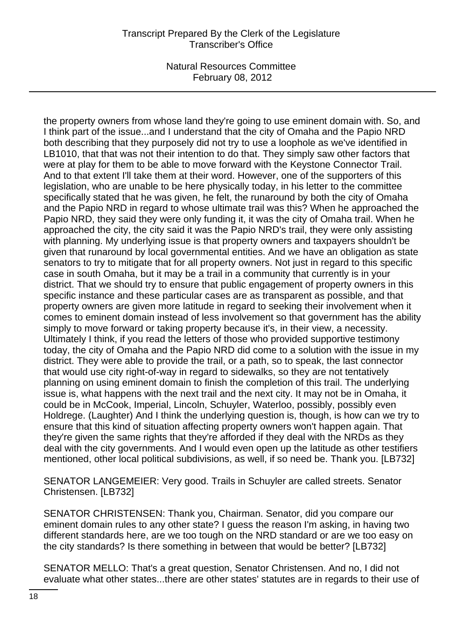the property owners from whose land they're going to use eminent domain with. So, and I think part of the issue...and I understand that the city of Omaha and the Papio NRD both describing that they purposely did not try to use a loophole as we've identified in LB1010, that that was not their intention to do that. They simply saw other factors that were at play for them to be able to move forward with the Keystone Connector Trail. And to that extent I'll take them at their word. However, one of the supporters of this legislation, who are unable to be here physically today, in his letter to the committee specifically stated that he was given, he felt, the runaround by both the city of Omaha and the Papio NRD in regard to whose ultimate trail was this? When he approached the Papio NRD, they said they were only funding it, it was the city of Omaha trail. When he approached the city, the city said it was the Papio NRD's trail, they were only assisting with planning. My underlying issue is that property owners and taxpayers shouldn't be given that runaround by local governmental entities. And we have an obligation as state senators to try to mitigate that for all property owners. Not just in regard to this specific case in south Omaha, but it may be a trail in a community that currently is in your district. That we should try to ensure that public engagement of property owners in this specific instance and these particular cases are as transparent as possible, and that property owners are given more latitude in regard to seeking their involvement when it comes to eminent domain instead of less involvement so that government has the ability simply to move forward or taking property because it's, in their view, a necessity. Ultimately I think, if you read the letters of those who provided supportive testimony today, the city of Omaha and the Papio NRD did come to a solution with the issue in my district. They were able to provide the trail, or a path, so to speak, the last connector that would use city right-of-way in regard to sidewalks, so they are not tentatively planning on using eminent domain to finish the completion of this trail. The underlying issue is, what happens with the next trail and the next city. It may not be in Omaha, it could be in McCook, Imperial, Lincoln, Schuyler, Waterloo, possibly, possibly even Holdrege. (Laughter) And I think the underlying question is, though, is how can we try to ensure that this kind of situation affecting property owners won't happen again. That they're given the same rights that they're afforded if they deal with the NRDs as they deal with the city governments. And I would even open up the latitude as other testifiers mentioned, other local political subdivisions, as well, if so need be. Thank you. [LB732]

SENATOR LANGEMEIER: Very good. Trails in Schuyler are called streets. Senator Christensen. [LB732]

SENATOR CHRISTENSEN: Thank you, Chairman. Senator, did you compare our eminent domain rules to any other state? I guess the reason I'm asking, in having two different standards here, are we too tough on the NRD standard or are we too easy on the city standards? Is there something in between that would be better? [LB732]

SENATOR MELLO: That's a great question, Senator Christensen. And no, I did not evaluate what other states...there are other states' statutes are in regards to their use of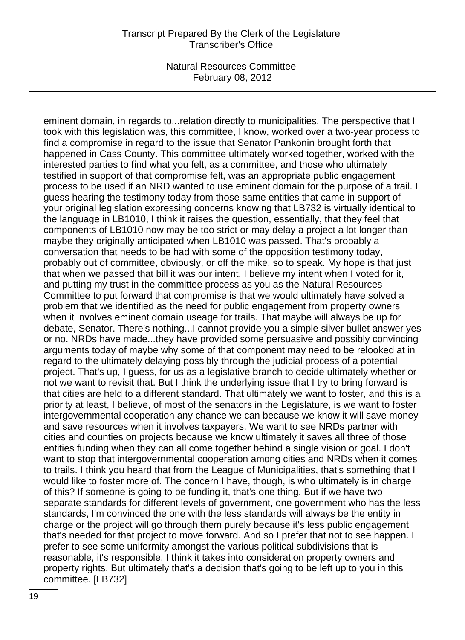eminent domain, in regards to...relation directly to municipalities. The perspective that I took with this legislation was, this committee, I know, worked over a two-year process to find a compromise in regard to the issue that Senator Pankonin brought forth that happened in Cass County. This committee ultimately worked together, worked with the interested parties to find what you felt, as a committee, and those who ultimately testified in support of that compromise felt, was an appropriate public engagement process to be used if an NRD wanted to use eminent domain for the purpose of a trail. I guess hearing the testimony today from those same entities that came in support of your original legislation expressing concerns knowing that LB732 is virtually identical to the language in LB1010, I think it raises the question, essentially, that they feel that components of LB1010 now may be too strict or may delay a project a lot longer than maybe they originally anticipated when LB1010 was passed. That's probably a conversation that needs to be had with some of the opposition testimony today, probably out of committee, obviously, or off the mike, so to speak. My hope is that just that when we passed that bill it was our intent, I believe my intent when I voted for it, and putting my trust in the committee process as you as the Natural Resources Committee to put forward that compromise is that we would ultimately have solved a problem that we identified as the need for public engagement from property owners when it involves eminent domain useage for trails. That maybe will always be up for debate, Senator. There's nothing...I cannot provide you a simple silver bullet answer yes or no. NRDs have made...they have provided some persuasive and possibly convincing arguments today of maybe why some of that component may need to be relooked at in regard to the ultimately delaying possibly through the judicial process of a potential project. That's up, I guess, for us as a legislative branch to decide ultimately whether or not we want to revisit that. But I think the underlying issue that I try to bring forward is that cities are held to a different standard. That ultimately we want to foster, and this is a priority at least, I believe, of most of the senators in the Legislature, is we want to foster intergovernmental cooperation any chance we can because we know it will save money and save resources when it involves taxpayers. We want to see NRDs partner with cities and counties on projects because we know ultimately it saves all three of those entities funding when they can all come together behind a single vision or goal. I don't want to stop that intergovernmental cooperation among cities and NRDs when it comes to trails. I think you heard that from the League of Municipalities, that's something that I would like to foster more of. The concern I have, though, is who ultimately is in charge of this? If someone is going to be funding it, that's one thing. But if we have two separate standards for different levels of government, one government who has the less standards, I'm convinced the one with the less standards will always be the entity in charge or the project will go through them purely because it's less public engagement that's needed for that project to move forward. And so I prefer that not to see happen. I prefer to see some uniformity amongst the various political subdivisions that is reasonable, it's responsible. I think it takes into consideration property owners and property rights. But ultimately that's a decision that's going to be left up to you in this committee. [LB732]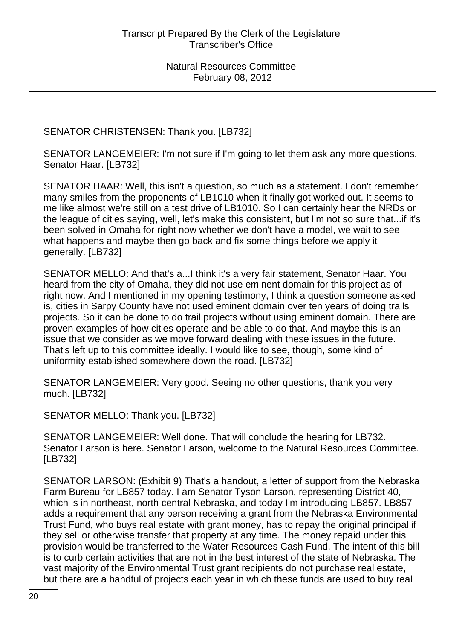SENATOR CHRISTENSEN: Thank you. [LB732]

SENATOR LANGEMEIER: I'm not sure if I'm going to let them ask any more questions. Senator Haar. [LB732]

SENATOR HAAR: Well, this isn't a question, so much as a statement. I don't remember many smiles from the proponents of LB1010 when it finally got worked out. It seems to me like almost we're still on a test drive of LB1010. So I can certainly hear the NRDs or the league of cities saying, well, let's make this consistent, but I'm not so sure that...if it's been solved in Omaha for right now whether we don't have a model, we wait to see what happens and maybe then go back and fix some things before we apply it generally. [LB732]

SENATOR MELLO: And that's a...I think it's a very fair statement, Senator Haar. You heard from the city of Omaha, they did not use eminent domain for this project as of right now. And I mentioned in my opening testimony, I think a question someone asked is, cities in Sarpy County have not used eminent domain over ten years of doing trails projects. So it can be done to do trail projects without using eminent domain. There are proven examples of how cities operate and be able to do that. And maybe this is an issue that we consider as we move forward dealing with these issues in the future. That's left up to this committee ideally. I would like to see, though, some kind of uniformity established somewhere down the road. [LB732]

SENATOR LANGEMEIER: Very good. Seeing no other questions, thank you very much. [LB732]

SENATOR MELLO: Thank you. [LB732]

SENATOR LANGEMEIER: Well done. That will conclude the hearing for LB732. Senator Larson is here. Senator Larson, welcome to the Natural Resources Committee. [LB732]

SENATOR LARSON: (Exhibit 9) That's a handout, a letter of support from the Nebraska Farm Bureau for LB857 today. I am Senator Tyson Larson, representing District 40, which is in northeast, north central Nebraska, and today I'm introducing LB857. LB857 adds a requirement that any person receiving a grant from the Nebraska Environmental Trust Fund, who buys real estate with grant money, has to repay the original principal if they sell or otherwise transfer that property at any time. The money repaid under this provision would be transferred to the Water Resources Cash Fund. The intent of this bill is to curb certain activities that are not in the best interest of the state of Nebraska. The vast majority of the Environmental Trust grant recipients do not purchase real estate, but there are a handful of projects each year in which these funds are used to buy real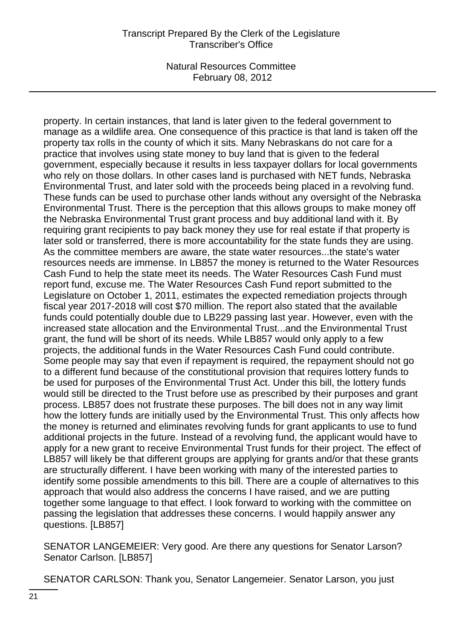property. In certain instances, that land is later given to the federal government to manage as a wildlife area. One consequence of this practice is that land is taken off the property tax rolls in the county of which it sits. Many Nebraskans do not care for a practice that involves using state money to buy land that is given to the federal government, especially because it results in less taxpayer dollars for local governments who rely on those dollars. In other cases land is purchased with NET funds, Nebraska Environmental Trust, and later sold with the proceeds being placed in a revolving fund. These funds can be used to purchase other lands without any oversight of the Nebraska Environmental Trust. There is the perception that this allows groups to make money off the Nebraska Environmental Trust grant process and buy additional land with it. By requiring grant recipients to pay back money they use for real estate if that property is later sold or transferred, there is more accountability for the state funds they are using. As the committee members are aware, the state water resources...the state's water resources needs are immense. In LB857 the money is returned to the Water Resources Cash Fund to help the state meet its needs. The Water Resources Cash Fund must report fund, excuse me. The Water Resources Cash Fund report submitted to the Legislature on October 1, 2011, estimates the expected remediation projects through fiscal year 2017-2018 will cost \$70 million. The report also stated that the available funds could potentially double due to LB229 passing last year. However, even with the increased state allocation and the Environmental Trust...and the Environmental Trust grant, the fund will be short of its needs. While LB857 would only apply to a few projects, the additional funds in the Water Resources Cash Fund could contribute. Some people may say that even if repayment is required, the repayment should not go to a different fund because of the constitutional provision that requires lottery funds to be used for purposes of the Environmental Trust Act. Under this bill, the lottery funds would still be directed to the Trust before use as prescribed by their purposes and grant process. LB857 does not frustrate these purposes. The bill does not in any way limit how the lottery funds are initially used by the Environmental Trust. This only affects how the money is returned and eliminates revolving funds for grant applicants to use to fund additional projects in the future. Instead of a revolving fund, the applicant would have to apply for a new grant to receive Environmental Trust funds for their project. The effect of LB857 will likely be that different groups are applying for grants and/or that these grants are structurally different. I have been working with many of the interested parties to identify some possible amendments to this bill. There are a couple of alternatives to this approach that would also address the concerns I have raised, and we are putting together some language to that effect. I look forward to working with the committee on passing the legislation that addresses these concerns. I would happily answer any questions. [LB857]

SENATOR LANGEMEIER: Very good. Are there any questions for Senator Larson? Senator Carlson. [LB857]

SENATOR CARLSON: Thank you, Senator Langemeier. Senator Larson, you just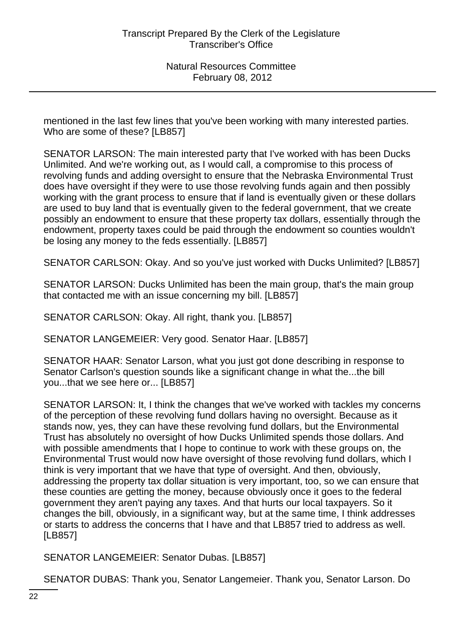mentioned in the last few lines that you've been working with many interested parties. Who are some of these? [LB857]

SENATOR LARSON: The main interested party that I've worked with has been Ducks Unlimited. And we're working out, as I would call, a compromise to this process of revolving funds and adding oversight to ensure that the Nebraska Environmental Trust does have oversight if they were to use those revolving funds again and then possibly working with the grant process to ensure that if land is eventually given or these dollars are used to buy land that is eventually given to the federal government, that we create possibly an endowment to ensure that these property tax dollars, essentially through the endowment, property taxes could be paid through the endowment so counties wouldn't be losing any money to the feds essentially. [LB857]

SENATOR CARLSON: Okay. And so you've just worked with Ducks Unlimited? [LB857]

SENATOR LARSON: Ducks Unlimited has been the main group, that's the main group that contacted me with an issue concerning my bill. [LB857]

SENATOR CARLSON: Okay. All right, thank you. [LB857]

SENATOR LANGEMEIER: Very good. Senator Haar. [LB857]

SENATOR HAAR: Senator Larson, what you just got done describing in response to Senator Carlson's question sounds like a significant change in what the...the bill you...that we see here or... [LB857]

SENATOR LARSON: It, I think the changes that we've worked with tackles my concerns of the perception of these revolving fund dollars having no oversight. Because as it stands now, yes, they can have these revolving fund dollars, but the Environmental Trust has absolutely no oversight of how Ducks Unlimited spends those dollars. And with possible amendments that I hope to continue to work with these groups on, the Environmental Trust would now have oversight of those revolving fund dollars, which I think is very important that we have that type of oversight. And then, obviously, addressing the property tax dollar situation is very important, too, so we can ensure that these counties are getting the money, because obviously once it goes to the federal government they aren't paying any taxes. And that hurts our local taxpayers. So it changes the bill, obviously, in a significant way, but at the same time, I think addresses or starts to address the concerns that I have and that LB857 tried to address as well. [LB857]

SENATOR LANGEMEIER: Senator Dubas. [LB857]

SENATOR DUBAS: Thank you, Senator Langemeier. Thank you, Senator Larson. Do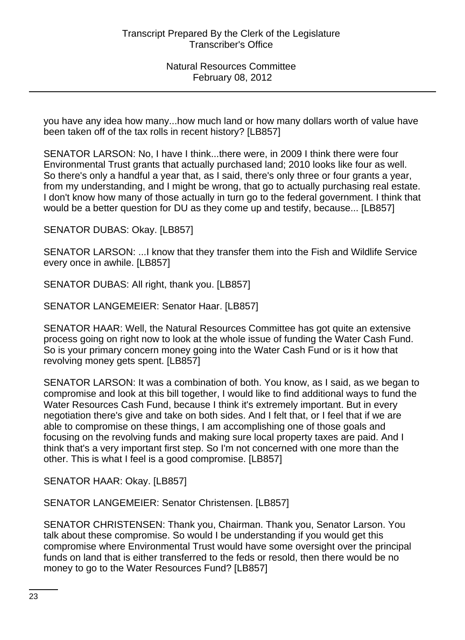you have any idea how many...how much land or how many dollars worth of value have been taken off of the tax rolls in recent history? [LB857]

SENATOR LARSON: No, I have I think...there were, in 2009 I think there were four Environmental Trust grants that actually purchased land; 2010 looks like four as well. So there's only a handful a year that, as I said, there's only three or four grants a year, from my understanding, and I might be wrong, that go to actually purchasing real estate. I don't know how many of those actually in turn go to the federal government. I think that would be a better question for DU as they come up and testify, because... [LB857]

SENATOR DUBAS: Okay. [LB857]

SENATOR LARSON: ...I know that they transfer them into the Fish and Wildlife Service every once in awhile. [LB857]

SENATOR DUBAS: All right, thank you. [LB857]

SENATOR LANGEMEIER: Senator Haar. [LB857]

SENATOR HAAR: Well, the Natural Resources Committee has got quite an extensive process going on right now to look at the whole issue of funding the Water Cash Fund. So is your primary concern money going into the Water Cash Fund or is it how that revolving money gets spent. [LB857]

SENATOR LARSON: It was a combination of both. You know, as I said, as we began to compromise and look at this bill together, I would like to find additional ways to fund the Water Resources Cash Fund, because I think it's extremely important. But in every negotiation there's give and take on both sides. And I felt that, or I feel that if we are able to compromise on these things, I am accomplishing one of those goals and focusing on the revolving funds and making sure local property taxes are paid. And I think that's a very important first step. So I'm not concerned with one more than the other. This is what I feel is a good compromise. [LB857]

SENATOR HAAR: Okay. [LB857]

SENATOR LANGEMEIER: Senator Christensen. [LB857]

SENATOR CHRISTENSEN: Thank you, Chairman. Thank you, Senator Larson. You talk about these compromise. So would I be understanding if you would get this compromise where Environmental Trust would have some oversight over the principal funds on land that is either transferred to the feds or resold, then there would be no money to go to the Water Resources Fund? [LB857]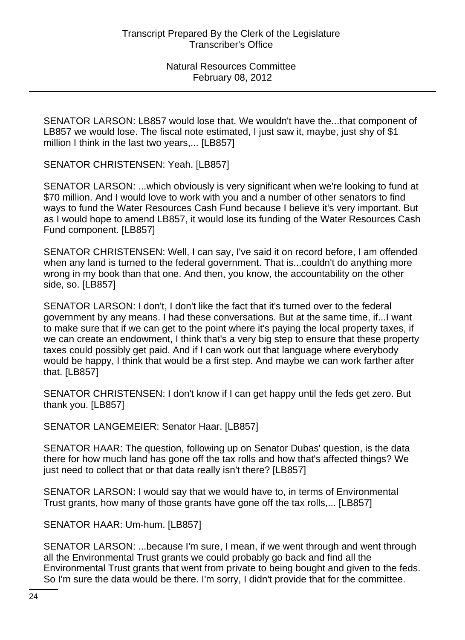SENATOR LARSON: LB857 would lose that. We wouldn't have the...that component of LB857 we would lose. The fiscal note estimated, I just saw it, maybe, just shy of \$1 million I think in the last two years,... [LB857]

SENATOR CHRISTENSEN: Yeah. [LB857]

SENATOR LARSON: ...which obviously is very significant when we're looking to fund at \$70 million. And I would love to work with you and a number of other senators to find ways to fund the Water Resources Cash Fund because I believe it's very important. But as I would hope to amend LB857, it would lose its funding of the Water Resources Cash Fund component. [LB857]

SENATOR CHRISTENSEN: Well, I can say, I've said it on record before, I am offended when any land is turned to the federal government. That is...couldn't do anything more wrong in my book than that one. And then, you know, the accountability on the other side, so. [LB857]

SENATOR LARSON: I don't, I don't like the fact that it's turned over to the federal government by any means. I had these conversations. But at the same time, if...I want to make sure that if we can get to the point where it's paying the local property taxes, if we can create an endowment, I think that's a very big step to ensure that these property taxes could possibly get paid. And if I can work out that language where everybody would be happy, I think that would be a first step. And maybe we can work farther after that. [LB857]

SENATOR CHRISTENSEN: I don't know if I can get happy until the feds get zero. But thank you. [LB857]

SENATOR LANGEMEIER: Senator Haar. [LB857]

SENATOR HAAR: The question, following up on Senator Dubas' question, is the data there for how much land has gone off the tax rolls and how that's affected things? We just need to collect that or that data really isn't there? [LB857]

SENATOR LARSON: I would say that we would have to, in terms of Environmental Trust grants, how many of those grants have gone off the tax rolls,... [LB857]

SENATOR HAAR: Um-hum. [LB857]

SENATOR LARSON: ...because I'm sure, I mean, if we went through and went through all the Environmental Trust grants we could probably go back and find all the Environmental Trust grants that went from private to being bought and given to the feds. So I'm sure the data would be there. I'm sorry, I didn't provide that for the committee.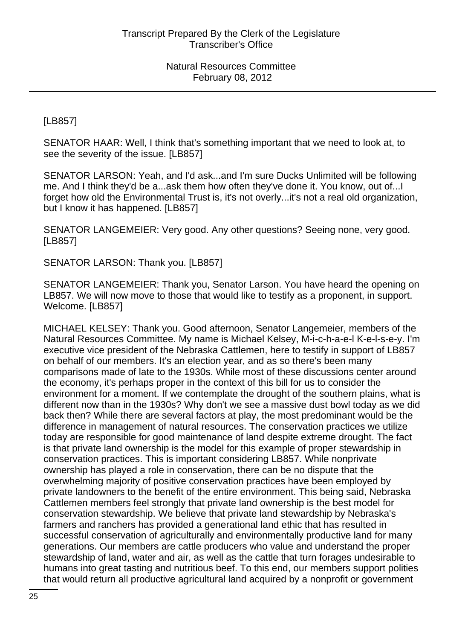[LB857]

SENATOR HAAR: Well, I think that's something important that we need to look at, to see the severity of the issue. [LB857]

SENATOR LARSON: Yeah, and I'd ask...and I'm sure Ducks Unlimited will be following me. And I think they'd be a...ask them how often they've done it. You know, out of...I forget how old the Environmental Trust is, it's not overly...it's not a real old organization, but I know it has happened. [LB857]

SENATOR LANGEMEIER: Very good. Any other questions? Seeing none, very good. [LB857]

SENATOR LARSON: Thank you. [LB857]

SENATOR LANGEMEIER: Thank you, Senator Larson. You have heard the opening on LB857. We will now move to those that would like to testify as a proponent, in support. Welcome. [LB857]

MICHAEL KELSEY: Thank you. Good afternoon, Senator Langemeier, members of the Natural Resources Committee. My name is Michael Kelsey, M-i-c-h-a-e-l K-e-l-s-e-y. I'm executive vice president of the Nebraska Cattlemen, here to testify in support of LB857 on behalf of our members. It's an election year, and as so there's been many comparisons made of late to the 1930s. While most of these discussions center around the economy, it's perhaps proper in the context of this bill for us to consider the environment for a moment. If we contemplate the drought of the southern plains, what is different now than in the 1930s? Why don't we see a massive dust bowl today as we did back then? While there are several factors at play, the most predominant would be the difference in management of natural resources. The conservation practices we utilize today are responsible for good maintenance of land despite extreme drought. The fact is that private land ownership is the model for this example of proper stewardship in conservation practices. This is important considering LB857. While nonprivate ownership has played a role in conservation, there can be no dispute that the overwhelming majority of positive conservation practices have been employed by private landowners to the benefit of the entire environment. This being said, Nebraska Cattlemen members feel strongly that private land ownership is the best model for conservation stewardship. We believe that private land stewardship by Nebraska's farmers and ranchers has provided a generational land ethic that has resulted in successful conservation of agriculturally and environmentally productive land for many generations. Our members are cattle producers who value and understand the proper stewardship of land, water and air, as well as the cattle that turn forages undesirable to humans into great tasting and nutritious beef. To this end, our members support polities that would return all productive agricultural land acquired by a nonprofit or government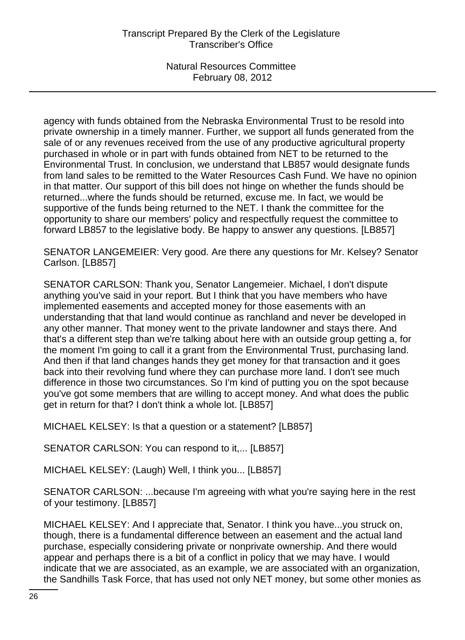agency with funds obtained from the Nebraska Environmental Trust to be resold into private ownership in a timely manner. Further, we support all funds generated from the sale of or any revenues received from the use of any productive agricultural property purchased in whole or in part with funds obtained from NET to be returned to the Environmental Trust. In conclusion, we understand that LB857 would designate funds from land sales to be remitted to the Water Resources Cash Fund. We have no opinion in that matter. Our support of this bill does not hinge on whether the funds should be returned...where the funds should be returned, excuse me. In fact, we would be supportive of the funds being returned to the NET. I thank the committee for the opportunity to share our members' policy and respectfully request the committee to forward LB857 to the legislative body. Be happy to answer any questions. [LB857]

SENATOR LANGEMEIER: Very good. Are there any questions for Mr. Kelsey? Senator Carlson. [LB857]

SENATOR CARLSON: Thank you, Senator Langemeier. Michael, I don't dispute anything you've said in your report. But I think that you have members who have implemented easements and accepted money for those easements with an understanding that that land would continue as ranchland and never be developed in any other manner. That money went to the private landowner and stays there. And that's a different step than we're talking about here with an outside group getting a, for the moment I'm going to call it a grant from the Environmental Trust, purchasing land. And then if that land changes hands they get money for that transaction and it goes back into their revolving fund where they can purchase more land. I don't see much difference in those two circumstances. So I'm kind of putting you on the spot because you've got some members that are willing to accept money. And what does the public get in return for that? I don't think a whole lot. [LB857]

MICHAEL KELSEY: Is that a question or a statement? [LB857]

SENATOR CARLSON: You can respond to it,... [LB857]

MICHAEL KELSEY: (Laugh) Well, I think you... [LB857]

SENATOR CARLSON: ...because I'm agreeing with what you're saying here in the rest of your testimony. [LB857]

MICHAEL KELSEY: And I appreciate that, Senator. I think you have...you struck on, though, there is a fundamental difference between an easement and the actual land purchase, especially considering private or nonprivate ownership. And there would appear and perhaps there is a bit of a conflict in policy that we may have. I would indicate that we are associated, as an example, we are associated with an organization, the Sandhills Task Force, that has used not only NET money, but some other monies as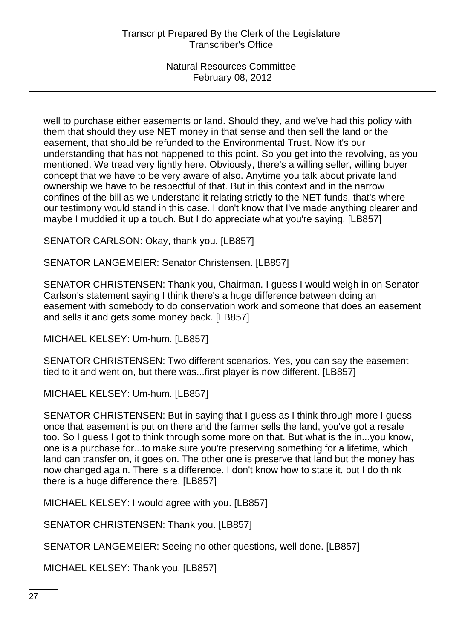well to purchase either easements or land. Should they, and we've had this policy with them that should they use NET money in that sense and then sell the land or the easement, that should be refunded to the Environmental Trust. Now it's our understanding that has not happened to this point. So you get into the revolving, as you mentioned. We tread very lightly here. Obviously, there's a willing seller, willing buyer concept that we have to be very aware of also. Anytime you talk about private land ownership we have to be respectful of that. But in this context and in the narrow confines of the bill as we understand it relating strictly to the NET funds, that's where our testimony would stand in this case. I don't know that I've made anything clearer and maybe I muddied it up a touch. But I do appreciate what you're saying. [LB857]

SENATOR CARLSON: Okay, thank you. [LB857]

SENATOR LANGEMEIER: Senator Christensen. [LB857]

SENATOR CHRISTENSEN: Thank you, Chairman. I guess I would weigh in on Senator Carlson's statement saying I think there's a huge difference between doing an easement with somebody to do conservation work and someone that does an easement and sells it and gets some money back. [LB857]

MICHAEL KELSEY: Um-hum. [LB857]

SENATOR CHRISTENSEN: Two different scenarios. Yes, you can say the easement tied to it and went on, but there was...first player is now different. [LB857]

MICHAEL KELSEY: Um-hum. [LB857]

SENATOR CHRISTENSEN: But in saying that I guess as I think through more I guess once that easement is put on there and the farmer sells the land, you've got a resale too. So I guess I got to think through some more on that. But what is the in...you know, one is a purchase for...to make sure you're preserving something for a lifetime, which land can transfer on, it goes on. The other one is preserve that land but the money has now changed again. There is a difference. I don't know how to state it, but I do think there is a huge difference there. [LB857]

MICHAEL KELSEY: I would agree with you. [LB857]

SENATOR CHRISTENSEN: Thank you. [LB857]

SENATOR LANGEMEIER: Seeing no other questions, well done. [LB857]

MICHAEL KELSEY: Thank you. [LB857]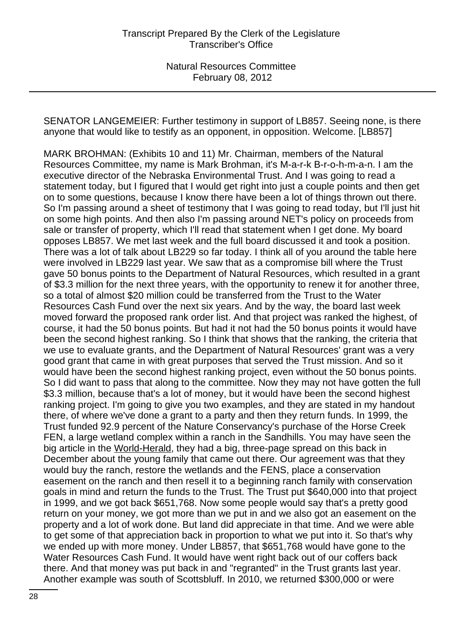SENATOR LANGEMEIER: Further testimony in support of LB857. Seeing none, is there anyone that would like to testify as an opponent, in opposition. Welcome. [LB857]

MARK BROHMAN: (Exhibits 10 and 11) Mr. Chairman, members of the Natural Resources Committee, my name is Mark Brohman, it's M-a-r-k B-r-o-h-m-a-n. I am the executive director of the Nebraska Environmental Trust. And I was going to read a statement today, but I figured that I would get right into just a couple points and then get on to some questions, because I know there have been a lot of things thrown out there. So I'm passing around a sheet of testimony that I was going to read today, but I'll just hit on some high points. And then also I'm passing around NET's policy on proceeds from sale or transfer of property, which I'll read that statement when I get done. My board opposes LB857. We met last week and the full board discussed it and took a position. There was a lot of talk about LB229 so far today. I think all of you around the table here were involved in LB229 last year. We saw that as a compromise bill where the Trust gave 50 bonus points to the Department of Natural Resources, which resulted in a grant of \$3.3 million for the next three years, with the opportunity to renew it for another three, so a total of almost \$20 million could be transferred from the Trust to the Water Resources Cash Fund over the next six years. And by the way, the board last week moved forward the proposed rank order list. And that project was ranked the highest, of course, it had the 50 bonus points. But had it not had the 50 bonus points it would have been the second highest ranking. So I think that shows that the ranking, the criteria that we use to evaluate grants, and the Department of Natural Resources' grant was a very good grant that came in with great purposes that served the Trust mission. And so it would have been the second highest ranking project, even without the 50 bonus points. So I did want to pass that along to the committee. Now they may not have gotten the full \$3.3 million, because that's a lot of money, but it would have been the second highest ranking project. I'm going to give you two examples, and they are stated in my handout there, of where we've done a grant to a party and then they return funds. In 1999, the Trust funded 92.9 percent of the Nature Conservancy's purchase of the Horse Creek FEN, a large wetland complex within a ranch in the Sandhills. You may have seen the big article in the World-Herald, they had a big, three-page spread on this back in December about the young family that came out there. Our agreement was that they would buy the ranch, restore the wetlands and the FENS, place a conservation easement on the ranch and then resell it to a beginning ranch family with conservation goals in mind and return the funds to the Trust. The Trust put \$640,000 into that project in 1999, and we got back \$651,768. Now some people would say that's a pretty good return on your money, we got more than we put in and we also got an easement on the property and a lot of work done. But land did appreciate in that time. And we were able to get some of that appreciation back in proportion to what we put into it. So that's why we ended up with more money. Under LB857, that \$651,768 would have gone to the Water Resources Cash Fund. It would have went right back out of our coffers back there. And that money was put back in and "regranted" in the Trust grants last year. Another example was south of Scottsbluff. In 2010, we returned \$300,000 or were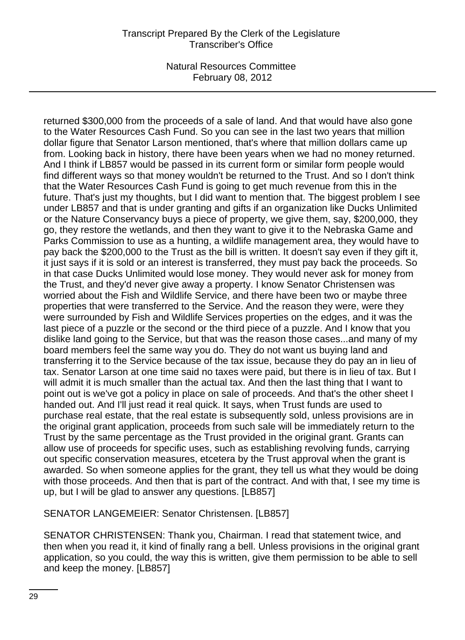returned \$300,000 from the proceeds of a sale of land. And that would have also gone to the Water Resources Cash Fund. So you can see in the last two years that million dollar figure that Senator Larson mentioned, that's where that million dollars came up from. Looking back in history, there have been years when we had no money returned. And I think if LB857 would be passed in its current form or similar form people would find different ways so that money wouldn't be returned to the Trust. And so I don't think that the Water Resources Cash Fund is going to get much revenue from this in the future. That's just my thoughts, but I did want to mention that. The biggest problem I see under LB857 and that is under granting and gifts if an organization like Ducks Unlimited or the Nature Conservancy buys a piece of property, we give them, say, \$200,000, they go, they restore the wetlands, and then they want to give it to the Nebraska Game and Parks Commission to use as a hunting, a wildlife management area, they would have to pay back the \$200,000 to the Trust as the bill is written. It doesn't say even if they gift it, it just says if it is sold or an interest is transferred, they must pay back the proceeds. So in that case Ducks Unlimited would lose money. They would never ask for money from the Trust, and they'd never give away a property. I know Senator Christensen was worried about the Fish and Wildlife Service, and there have been two or maybe three properties that were transferred to the Service. And the reason they were, were they were surrounded by Fish and Wildlife Services properties on the edges, and it was the last piece of a puzzle or the second or the third piece of a puzzle. And I know that you dislike land going to the Service, but that was the reason those cases...and many of my board members feel the same way you do. They do not want us buying land and transferring it to the Service because of the tax issue, because they do pay an in lieu of tax. Senator Larson at one time said no taxes were paid, but there is in lieu of tax. But I will admit it is much smaller than the actual tax. And then the last thing that I want to point out is we've got a policy in place on sale of proceeds. And that's the other sheet I handed out. And I'll just read it real quick. It says, when Trust funds are used to purchase real estate, that the real estate is subsequently sold, unless provisions are in the original grant application, proceeds from such sale will be immediately return to the Trust by the same percentage as the Trust provided in the original grant. Grants can allow use of proceeds for specific uses, such as establishing revolving funds, carrying out specific conservation measures, etcetera by the Trust approval when the grant is awarded. So when someone applies for the grant, they tell us what they would be doing with those proceeds. And then that is part of the contract. And with that, I see my time is up, but I will be glad to answer any questions. [LB857]

SENATOR LANGEMEIER: Senator Christensen. [LB857]

SENATOR CHRISTENSEN: Thank you, Chairman. I read that statement twice, and then when you read it, it kind of finally rang a bell. Unless provisions in the original grant application, so you could, the way this is written, give them permission to be able to sell and keep the money. [LB857]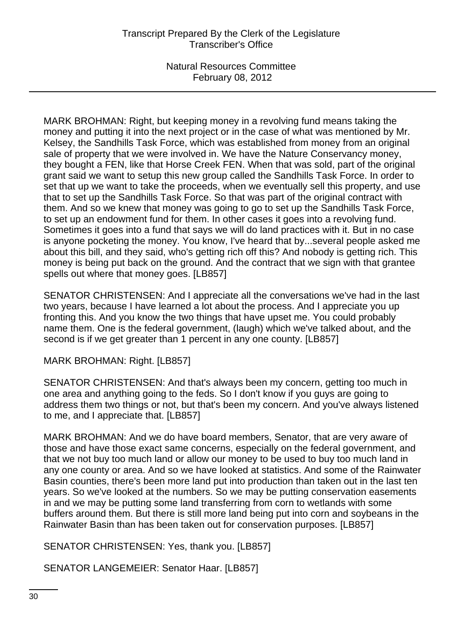MARK BROHMAN: Right, but keeping money in a revolving fund means taking the money and putting it into the next project or in the case of what was mentioned by Mr. Kelsey, the Sandhills Task Force, which was established from money from an original sale of property that we were involved in. We have the Nature Conservancy money, they bought a FEN, like that Horse Creek FEN. When that was sold, part of the original grant said we want to setup this new group called the Sandhills Task Force. In order to set that up we want to take the proceeds, when we eventually sell this property, and use that to set up the Sandhills Task Force. So that was part of the original contract with them. And so we knew that money was going to go to set up the Sandhills Task Force, to set up an endowment fund for them. In other cases it goes into a revolving fund. Sometimes it goes into a fund that says we will do land practices with it. But in no case is anyone pocketing the money. You know, I've heard that by...several people asked me about this bill, and they said, who's getting rich off this? And nobody is getting rich. This money is being put back on the ground. And the contract that we sign with that grantee spells out where that money goes. [LB857]

SENATOR CHRISTENSEN: And I appreciate all the conversations we've had in the last two years, because I have learned a lot about the process. And I appreciate you up fronting this. And you know the two things that have upset me. You could probably name them. One is the federal government, (laugh) which we've talked about, and the second is if we get greater than 1 percent in any one county. [LB857]

MARK BROHMAN: Right. [LB857]

SENATOR CHRISTENSEN: And that's always been my concern, getting too much in one area and anything going to the feds. So I don't know if you guys are going to address them two things or not, but that's been my concern. And you've always listened to me, and I appreciate that. [LB857]

MARK BROHMAN: And we do have board members, Senator, that are very aware of those and have those exact same concerns, especially on the federal government, and that we not buy too much land or allow our money to be used to buy too much land in any one county or area. And so we have looked at statistics. And some of the Rainwater Basin counties, there's been more land put into production than taken out in the last ten years. So we've looked at the numbers. So we may be putting conservation easements in and we may be putting some land transferring from corn to wetlands with some buffers around them. But there is still more land being put into corn and soybeans in the Rainwater Basin than has been taken out for conservation purposes. [LB857]

SENATOR CHRISTENSEN: Yes, thank you. [LB857]

SENATOR LANGEMEIER: Senator Haar. [LB857]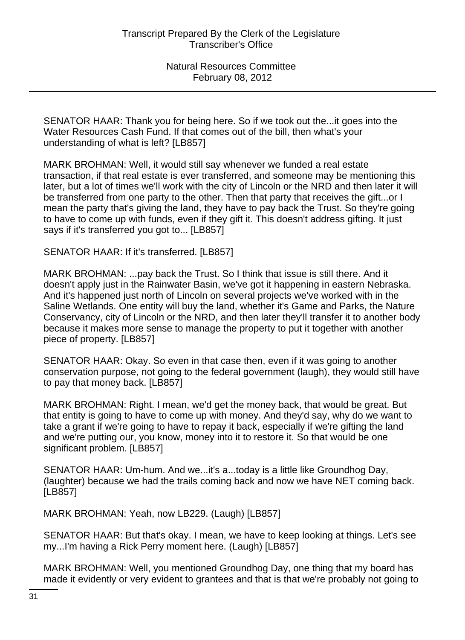SENATOR HAAR: Thank you for being here. So if we took out the...it goes into the Water Resources Cash Fund. If that comes out of the bill, then what's your understanding of what is left? [LB857]

MARK BROHMAN: Well, it would still say whenever we funded a real estate transaction, if that real estate is ever transferred, and someone may be mentioning this later, but a lot of times we'll work with the city of Lincoln or the NRD and then later it will be transferred from one party to the other. Then that party that receives the gift...or I mean the party that's giving the land, they have to pay back the Trust. So they're going to have to come up with funds, even if they gift it. This doesn't address gifting. It just says if it's transferred you got to... [LB857]

SENATOR HAAR: If it's transferred. [LB857]

MARK BROHMAN: ...pay back the Trust. So I think that issue is still there. And it doesn't apply just in the Rainwater Basin, we've got it happening in eastern Nebraska. And it's happened just north of Lincoln on several projects we've worked with in the Saline Wetlands. One entity will buy the land, whether it's Game and Parks, the Nature Conservancy, city of Lincoln or the NRD, and then later they'll transfer it to another body because it makes more sense to manage the property to put it together with another piece of property. [LB857]

SENATOR HAAR: Okay. So even in that case then, even if it was going to another conservation purpose, not going to the federal government (laugh), they would still have to pay that money back. [LB857]

MARK BROHMAN: Right. I mean, we'd get the money back, that would be great. But that entity is going to have to come up with money. And they'd say, why do we want to take a grant if we're going to have to repay it back, especially if we're gifting the land and we're putting our, you know, money into it to restore it. So that would be one significant problem. [LB857]

SENATOR HAAR: Um-hum. And we...it's a...today is a little like Groundhog Day, (laughter) because we had the trails coming back and now we have NET coming back. [LB857]

MARK BROHMAN: Yeah, now LB229. (Laugh) [LB857]

SENATOR HAAR: But that's okay. I mean, we have to keep looking at things. Let's see my...I'm having a Rick Perry moment here. (Laugh) [LB857]

MARK BROHMAN: Well, you mentioned Groundhog Day, one thing that my board has made it evidently or very evident to grantees and that is that we're probably not going to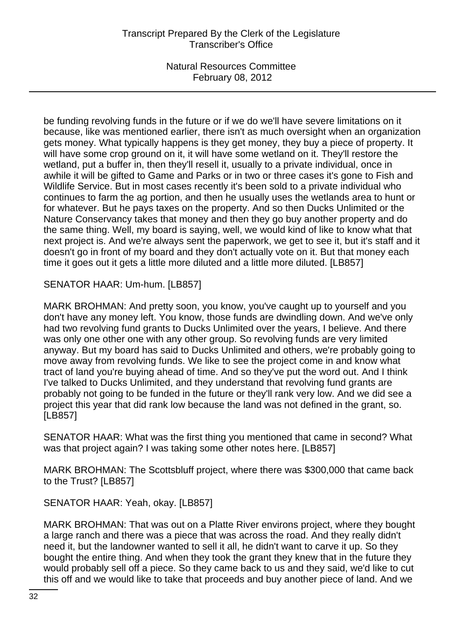be funding revolving funds in the future or if we do we'll have severe limitations on it because, like was mentioned earlier, there isn't as much oversight when an organization gets money. What typically happens is they get money, they buy a piece of property. It will have some crop ground on it, it will have some wetland on it. They'll restore the wetland, put a buffer in, then they'll resell it, usually to a private individual, once in awhile it will be gifted to Game and Parks or in two or three cases it's gone to Fish and Wildlife Service. But in most cases recently it's been sold to a private individual who continues to farm the ag portion, and then he usually uses the wetlands area to hunt or for whatever. But he pays taxes on the property. And so then Ducks Unlimited or the Nature Conservancy takes that money and then they go buy another property and do the same thing. Well, my board is saying, well, we would kind of like to know what that next project is. And we're always sent the paperwork, we get to see it, but it's staff and it doesn't go in front of my board and they don't actually vote on it. But that money each time it goes out it gets a little more diluted and a little more diluted. [LB857]

SENATOR HAAR: Um-hum. [LB857]

MARK BROHMAN: And pretty soon, you know, you've caught up to yourself and you don't have any money left. You know, those funds are dwindling down. And we've only had two revolving fund grants to Ducks Unlimited over the years, I believe. And there was only one other one with any other group. So revolving funds are very limited anyway. But my board has said to Ducks Unlimited and others, we're probably going to move away from revolving funds. We like to see the project come in and know what tract of land you're buying ahead of time. And so they've put the word out. And I think I've talked to Ducks Unlimited, and they understand that revolving fund grants are probably not going to be funded in the future or they'll rank very low. And we did see a project this year that did rank low because the land was not defined in the grant, so. [LB857]

SENATOR HAAR: What was the first thing you mentioned that came in second? What was that project again? I was taking some other notes here. [LB857]

MARK BROHMAN: The Scottsbluff project, where there was \$300,000 that came back to the Trust? [LB857]

SENATOR HAAR: Yeah, okay. [LB857]

MARK BROHMAN: That was out on a Platte River environs project, where they bought a large ranch and there was a piece that was across the road. And they really didn't need it, but the landowner wanted to sell it all, he didn't want to carve it up. So they bought the entire thing. And when they took the grant they knew that in the future they would probably sell off a piece. So they came back to us and they said, we'd like to cut this off and we would like to take that proceeds and buy another piece of land. And we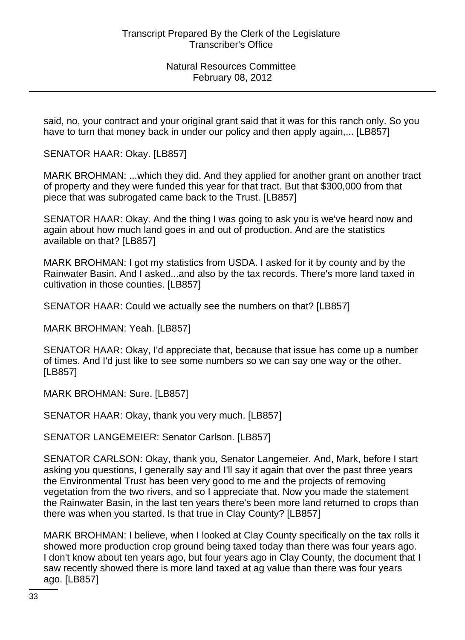said, no, your contract and your original grant said that it was for this ranch only. So you have to turn that money back in under our policy and then apply again,... [LB857]

SENATOR HAAR: Okay. [LB857]

MARK BROHMAN: ...which they did. And they applied for another grant on another tract of property and they were funded this year for that tract. But that \$300,000 from that piece that was subrogated came back to the Trust. [LB857]

SENATOR HAAR: Okay. And the thing I was going to ask you is we've heard now and again about how much land goes in and out of production. And are the statistics available on that? [LB857]

MARK BROHMAN: I got my statistics from USDA. I asked for it by county and by the Rainwater Basin. And I asked...and also by the tax records. There's more land taxed in cultivation in those counties. [LB857]

SENATOR HAAR: Could we actually see the numbers on that? [LB857]

MARK BROHMAN: Yeah. [LB857]

SENATOR HAAR: Okay, I'd appreciate that, because that issue has come up a number of times. And I'd just like to see some numbers so we can say one way or the other. [LB857]

MARK BROHMAN: Sure. [LB857]

SENATOR HAAR: Okay, thank you very much. [LB857]

SENATOR LANGEMEIER: Senator Carlson. [LB857]

SENATOR CARLSON: Okay, thank you, Senator Langemeier. And, Mark, before I start asking you questions, I generally say and I'll say it again that over the past three years the Environmental Trust has been very good to me and the projects of removing vegetation from the two rivers, and so I appreciate that. Now you made the statement the Rainwater Basin, in the last ten years there's been more land returned to crops than there was when you started. Is that true in Clay County? [LB857]

MARK BROHMAN: I believe, when I looked at Clay County specifically on the tax rolls it showed more production crop ground being taxed today than there was four years ago. I don't know about ten years ago, but four years ago in Clay County, the document that I saw recently showed there is more land taxed at ag value than there was four years ago. [LB857]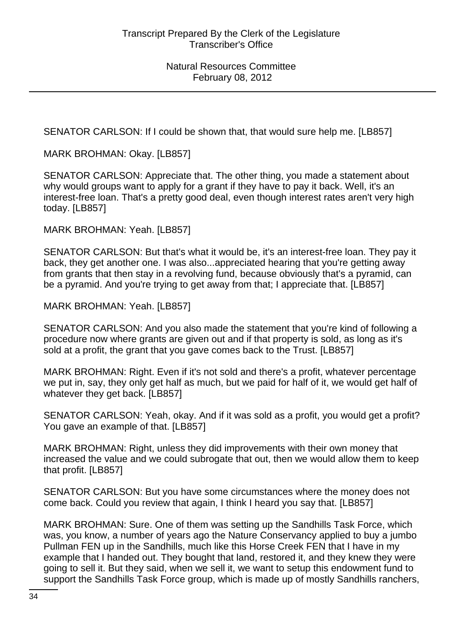SENATOR CARLSON: If I could be shown that, that would sure help me. [LB857]

MARK BROHMAN: Okay. [LB857]

SENATOR CARLSON: Appreciate that. The other thing, you made a statement about why would groups want to apply for a grant if they have to pay it back. Well, it's an interest-free loan. That's a pretty good deal, even though interest rates aren't very high today. [LB857]

MARK BROHMAN: Yeah. [LB857]

SENATOR CARLSON: But that's what it would be, it's an interest-free loan. They pay it back, they get another one. I was also...appreciated hearing that you're getting away from grants that then stay in a revolving fund, because obviously that's a pyramid, can be a pyramid. And you're trying to get away from that; I appreciate that. [LB857]

MARK BROHMAN: Yeah. [LB857]

SENATOR CARLSON: And you also made the statement that you're kind of following a procedure now where grants are given out and if that property is sold, as long as it's sold at a profit, the grant that you gave comes back to the Trust. [LB857]

MARK BROHMAN: Right. Even if it's not sold and there's a profit, whatever percentage we put in, say, they only get half as much, but we paid for half of it, we would get half of whatever they get back. [LB857]

SENATOR CARLSON: Yeah, okay. And if it was sold as a profit, you would get a profit? You gave an example of that. [LB857]

MARK BROHMAN: Right, unless they did improvements with their own money that increased the value and we could subrogate that out, then we would allow them to keep that profit. [LB857]

SENATOR CARLSON: But you have some circumstances where the money does not come back. Could you review that again, I think I heard you say that. [LB857]

MARK BROHMAN: Sure. One of them was setting up the Sandhills Task Force, which was, you know, a number of years ago the Nature Conservancy applied to buy a jumbo Pullman FEN up in the Sandhills, much like this Horse Creek FEN that I have in my example that I handed out. They bought that land, restored it, and they knew they were going to sell it. But they said, when we sell it, we want to setup this endowment fund to support the Sandhills Task Force group, which is made up of mostly Sandhills ranchers,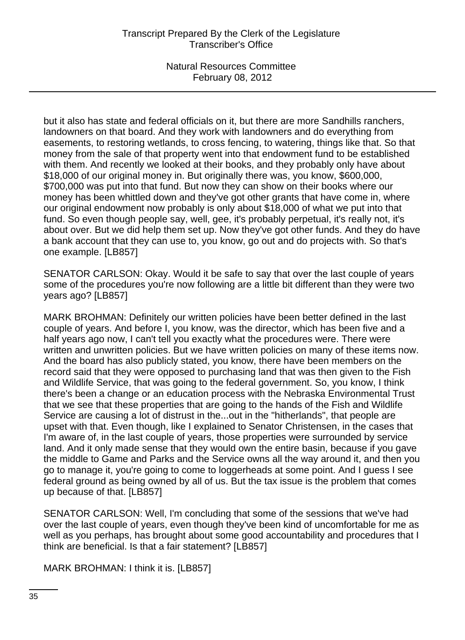but it also has state and federal officials on it, but there are more Sandhills ranchers, landowners on that board. And they work with landowners and do everything from easements, to restoring wetlands, to cross fencing, to watering, things like that. So that money from the sale of that property went into that endowment fund to be established with them. And recently we looked at their books, and they probably only have about \$18,000 of our original money in. But originally there was, you know, \$600,000, \$700,000 was put into that fund. But now they can show on their books where our money has been whittled down and they've got other grants that have come in, where our original endowment now probably is only about \$18,000 of what we put into that fund. So even though people say, well, gee, it's probably perpetual, it's really not, it's about over. But we did help them set up. Now they've got other funds. And they do have a bank account that they can use to, you know, go out and do projects with. So that's one example. [LB857]

SENATOR CARLSON: Okay. Would it be safe to say that over the last couple of years some of the procedures you're now following are a little bit different than they were two years ago? [LB857]

MARK BROHMAN: Definitely our written policies have been better defined in the last couple of years. And before I, you know, was the director, which has been five and a half years ago now, I can't tell you exactly what the procedures were. There were written and unwritten policies. But we have written policies on many of these items now. And the board has also publicly stated, you know, there have been members on the record said that they were opposed to purchasing land that was then given to the Fish and Wildlife Service, that was going to the federal government. So, you know, I think there's been a change or an education process with the Nebraska Environmental Trust that we see that these properties that are going to the hands of the Fish and Wildlife Service are causing a lot of distrust in the...out in the "hitherlands", that people are upset with that. Even though, like I explained to Senator Christensen, in the cases that I'm aware of, in the last couple of years, those properties were surrounded by service land. And it only made sense that they would own the entire basin, because if you gave the middle to Game and Parks and the Service owns all the way around it, and then you go to manage it, you're going to come to loggerheads at some point. And I guess I see federal ground as being owned by all of us. But the tax issue is the problem that comes up because of that. [LB857]

SENATOR CARLSON: Well, I'm concluding that some of the sessions that we've had over the last couple of years, even though they've been kind of uncomfortable for me as well as you perhaps, has brought about some good accountability and procedures that I think are beneficial. Is that a fair statement? [LB857]

MARK BROHMAN: I think it is. [LB857]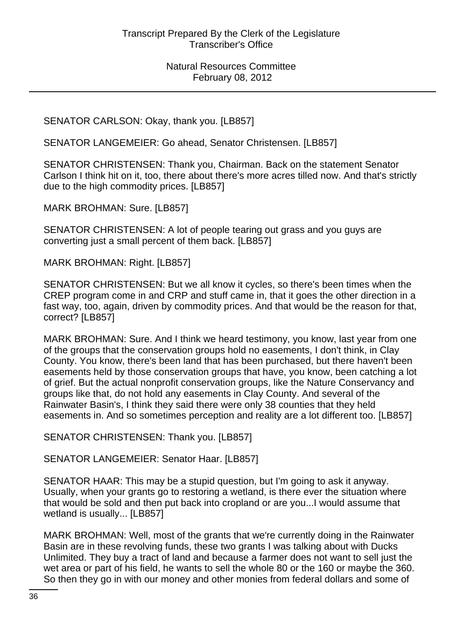# SENATOR CARLSON: Okay, thank you. [LB857]

SENATOR LANGEMEIER: Go ahead, Senator Christensen. [LB857]

SENATOR CHRISTENSEN: Thank you, Chairman. Back on the statement Senator Carlson I think hit on it, too, there about there's more acres tilled now. And that's strictly due to the high commodity prices. [LB857]

MARK BROHMAN: Sure. [LB857]

SENATOR CHRISTENSEN: A lot of people tearing out grass and you guys are converting just a small percent of them back. [LB857]

MARK BROHMAN: Right. [LB857]

SENATOR CHRISTENSEN: But we all know it cycles, so there's been times when the CREP program come in and CRP and stuff came in, that it goes the other direction in a fast way, too, again, driven by commodity prices. And that would be the reason for that, correct? [LB857]

MARK BROHMAN: Sure. And I think we heard testimony, you know, last year from one of the groups that the conservation groups hold no easements, I don't think, in Clay County. You know, there's been land that has been purchased, but there haven't been easements held by those conservation groups that have, you know, been catching a lot of grief. But the actual nonprofit conservation groups, like the Nature Conservancy and groups like that, do not hold any easements in Clay County. And several of the Rainwater Basin's, I think they said there were only 38 counties that they held easements in. And so sometimes perception and reality are a lot different too. [LB857]

SENATOR CHRISTENSEN: Thank you. [LB857]

SENATOR LANGEMEIER: Senator Haar. [LB857]

SENATOR HAAR: This may be a stupid question, but I'm going to ask it anyway. Usually, when your grants go to restoring a wetland, is there ever the situation where that would be sold and then put back into cropland or are you...I would assume that wetland is usually... [LB857]

MARK BROHMAN: Well, most of the grants that we're currently doing in the Rainwater Basin are in these revolving funds, these two grants I was talking about with Ducks Unlimited. They buy a tract of land and because a farmer does not want to sell just the wet area or part of his field, he wants to sell the whole 80 or the 160 or maybe the 360. So then they go in with our money and other monies from federal dollars and some of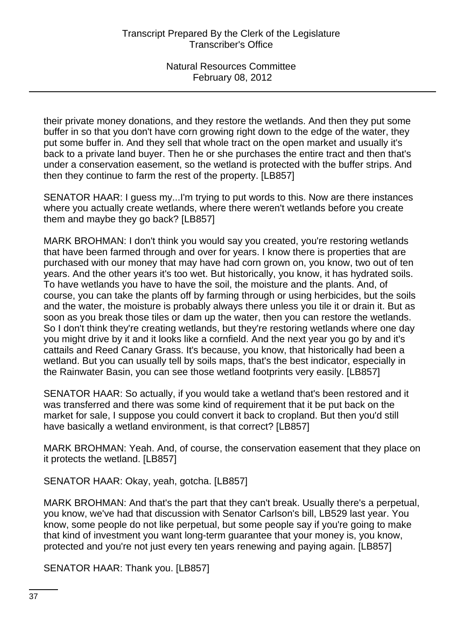their private money donations, and they restore the wetlands. And then they put some buffer in so that you don't have corn growing right down to the edge of the water, they put some buffer in. And they sell that whole tract on the open market and usually it's back to a private land buyer. Then he or she purchases the entire tract and then that's under a conservation easement, so the wetland is protected with the buffer strips. And then they continue to farm the rest of the property. [LB857]

SENATOR HAAR: I guess my...I'm trying to put words to this. Now are there instances where you actually create wetlands, where there weren't wetlands before you create them and maybe they go back? [LB857]

MARK BROHMAN: I don't think you would say you created, you're restoring wetlands that have been farmed through and over for years. I know there is properties that are purchased with our money that may have had corn grown on, you know, two out of ten years. And the other years it's too wet. But historically, you know, it has hydrated soils. To have wetlands you have to have the soil, the moisture and the plants. And, of course, you can take the plants off by farming through or using herbicides, but the soils and the water, the moisture is probably always there unless you tile it or drain it. But as soon as you break those tiles or dam up the water, then you can restore the wetlands. So I don't think they're creating wetlands, but they're restoring wetlands where one day you might drive by it and it looks like a cornfield. And the next year you go by and it's cattails and Reed Canary Grass. It's because, you know, that historically had been a wetland. But you can usually tell by soils maps, that's the best indicator, especially in the Rainwater Basin, you can see those wetland footprints very easily. [LB857]

SENATOR HAAR: So actually, if you would take a wetland that's been restored and it was transferred and there was some kind of requirement that it be put back on the market for sale, I suppose you could convert it back to cropland. But then you'd still have basically a wetland environment, is that correct? [LB857]

MARK BROHMAN: Yeah. And, of course, the conservation easement that they place on it protects the wetland. [LB857]

SENATOR HAAR: Okay, yeah, gotcha. [LB857]

MARK BROHMAN: And that's the part that they can't break. Usually there's a perpetual, you know, we've had that discussion with Senator Carlson's bill, LB529 last year. You know, some people do not like perpetual, but some people say if you're going to make that kind of investment you want long-term guarantee that your money is, you know, protected and you're not just every ten years renewing and paying again. [LB857]

SENATOR HAAR: Thank you. [LB857]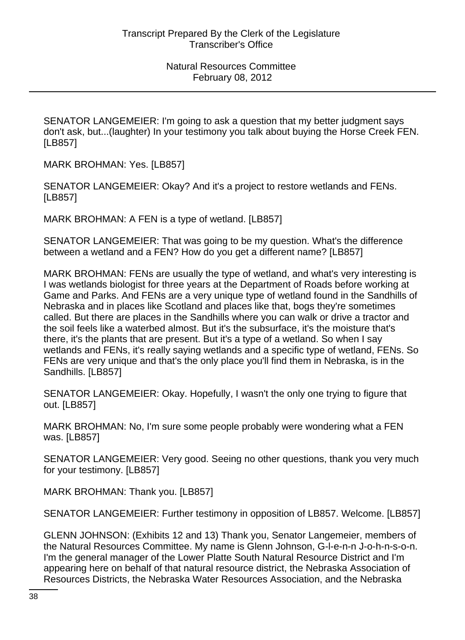SENATOR LANGEMEIER: I'm going to ask a question that my better judgment says don't ask, but...(laughter) In your testimony you talk about buying the Horse Creek FEN. [LB857]

MARK BROHMAN: Yes. [LB857]

SENATOR LANGEMEIER: Okay? And it's a project to restore wetlands and FENs. [LB857]

MARK BROHMAN: A FEN is a type of wetland. [LB857]

SENATOR LANGEMEIER: That was going to be my question. What's the difference between a wetland and a FEN? How do you get a different name? [LB857]

MARK BROHMAN: FENs are usually the type of wetland, and what's very interesting is I was wetlands biologist for three years at the Department of Roads before working at Game and Parks. And FENs are a very unique type of wetland found in the Sandhills of Nebraska and in places like Scotland and places like that, bogs they're sometimes called. But there are places in the Sandhills where you can walk or drive a tractor and the soil feels like a waterbed almost. But it's the subsurface, it's the moisture that's there, it's the plants that are present. But it's a type of a wetland. So when I say wetlands and FENs, it's really saying wetlands and a specific type of wetland, FENs. So FENs are very unique and that's the only place you'll find them in Nebraska, is in the Sandhills. [LB857]

SENATOR LANGEMEIER: Okay. Hopefully, I wasn't the only one trying to figure that out. [LB857]

MARK BROHMAN: No, I'm sure some people probably were wondering what a FEN was. [LB857]

SENATOR LANGEMEIER: Very good. Seeing no other questions, thank you very much for your testimony. [LB857]

MARK BROHMAN: Thank you. [LB857]

SENATOR LANGEMEIER: Further testimony in opposition of LB857. Welcome. [LB857]

GLENN JOHNSON: (Exhibits 12 and 13) Thank you, Senator Langemeier, members of the Natural Resources Committee. My name is Glenn Johnson, G-l-e-n-n J-o-h-n-s-o-n. I'm the general manager of the Lower Platte South Natural Resource District and I'm appearing here on behalf of that natural resource district, the Nebraska Association of Resources Districts, the Nebraska Water Resources Association, and the Nebraska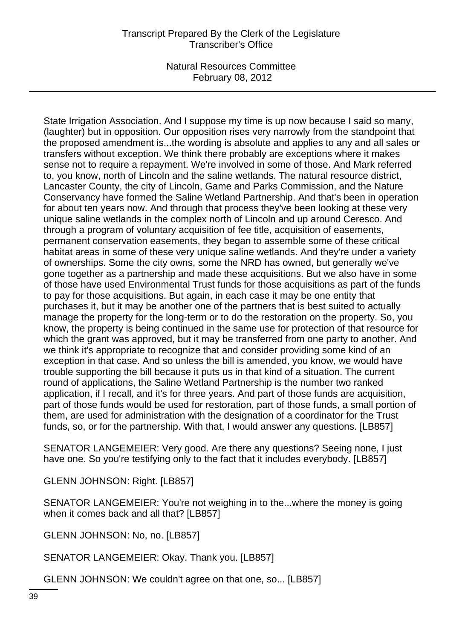State Irrigation Association. And I suppose my time is up now because I said so many, (laughter) but in opposition. Our opposition rises very narrowly from the standpoint that the proposed amendment is...the wording is absolute and applies to any and all sales or transfers without exception. We think there probably are exceptions where it makes sense not to require a repayment. We're involved in some of those. And Mark referred to, you know, north of Lincoln and the saline wetlands. The natural resource district, Lancaster County, the city of Lincoln, Game and Parks Commission, and the Nature Conservancy have formed the Saline Wetland Partnership. And that's been in operation for about ten years now. And through that process they've been looking at these very unique saline wetlands in the complex north of Lincoln and up around Ceresco. And through a program of voluntary acquisition of fee title, acquisition of easements, permanent conservation easements, they began to assemble some of these critical habitat areas in some of these very unique saline wetlands. And they're under a variety of ownerships. Some the city owns, some the NRD has owned, but generally we've gone together as a partnership and made these acquisitions. But we also have in some of those have used Environmental Trust funds for those acquisitions as part of the funds to pay for those acquisitions. But again, in each case it may be one entity that purchases it, but it may be another one of the partners that is best suited to actually manage the property for the long-term or to do the restoration on the property. So, you know, the property is being continued in the same use for protection of that resource for which the grant was approved, but it may be transferred from one party to another. And we think it's appropriate to recognize that and consider providing some kind of an exception in that case. And so unless the bill is amended, you know, we would have trouble supporting the bill because it puts us in that kind of a situation. The current round of applications, the Saline Wetland Partnership is the number two ranked application, if I recall, and it's for three years. And part of those funds are acquisition, part of those funds would be used for restoration, part of those funds, a small portion of them, are used for administration with the designation of a coordinator for the Trust funds, so, or for the partnership. With that, I would answer any questions. [LB857]

SENATOR LANGEMEIER: Very good. Are there any questions? Seeing none, I just have one. So you're testifying only to the fact that it includes everybody. [LB857]

GLENN JOHNSON: Right. [LB857]

SENATOR LANGEMEIER: You're not weighing in to the...where the money is going when it comes back and all that? [LB857]

GLENN JOHNSON: No, no. [LB857]

SENATOR LANGEMEIER: Okay. Thank you. [LB857]

GLENN JOHNSON: We couldn't agree on that one, so... [LB857]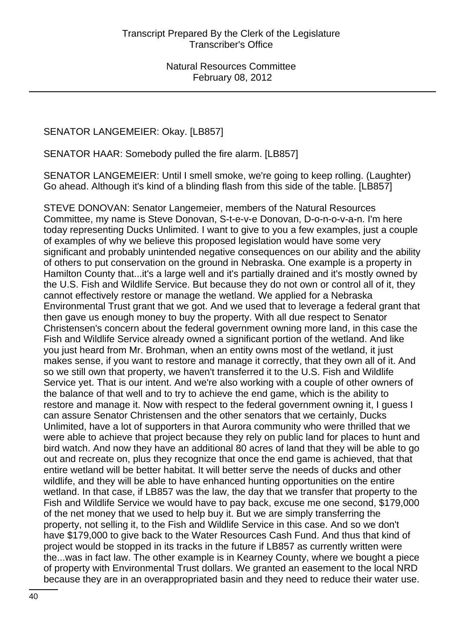### SENATOR LANGEMEIER: Okay. [LB857]

SENATOR HAAR: Somebody pulled the fire alarm. [LB857]

SENATOR LANGEMEIER: Until I smell smoke, we're going to keep rolling. (Laughter) Go ahead. Although it's kind of a blinding flash from this side of the table. [LB857]

STEVE DONOVAN: Senator Langemeier, members of the Natural Resources Committee, my name is Steve Donovan, S-t-e-v-e Donovan, D-o-n-o-v-a-n. I'm here today representing Ducks Unlimited. I want to give to you a few examples, just a couple of examples of why we believe this proposed legislation would have some very significant and probably unintended negative consequences on our ability and the ability of others to put conservation on the ground in Nebraska. One example is a property in Hamilton County that...it's a large well and it's partially drained and it's mostly owned by the U.S. Fish and Wildlife Service. But because they do not own or control all of it, they cannot effectively restore or manage the wetland. We applied for a Nebraska Environmental Trust grant that we got. And we used that to leverage a federal grant that then gave us enough money to buy the property. With all due respect to Senator Christensen's concern about the federal government owning more land, in this case the Fish and Wildlife Service already owned a significant portion of the wetland. And like you just heard from Mr. Brohman, when an entity owns most of the wetland, it just makes sense, if you want to restore and manage it correctly, that they own all of it. And so we still own that property, we haven't transferred it to the U.S. Fish and Wildlife Service yet. That is our intent. And we're also working with a couple of other owners of the balance of that well and to try to achieve the end game, which is the ability to restore and manage it. Now with respect to the federal government owning it, I guess I can assure Senator Christensen and the other senators that we certainly, Ducks Unlimited, have a lot of supporters in that Aurora community who were thrilled that we were able to achieve that project because they rely on public land for places to hunt and bird watch. And now they have an additional 80 acres of land that they will be able to go out and recreate on, plus they recognize that once the end game is achieved, that that entire wetland will be better habitat. It will better serve the needs of ducks and other wildlife, and they will be able to have enhanced hunting opportunities on the entire wetland. In that case, if LB857 was the law, the day that we transfer that property to the Fish and Wildlife Service we would have to pay back, excuse me one second, \$179,000 of the net money that we used to help buy it. But we are simply transferring the property, not selling it, to the Fish and Wildlife Service in this case. And so we don't have \$179,000 to give back to the Water Resources Cash Fund. And thus that kind of project would be stopped in its tracks in the future if LB857 as currently written were the...was in fact law. The other example is in Kearney County, where we bought a piece of property with Environmental Trust dollars. We granted an easement to the local NRD because they are in an overappropriated basin and they need to reduce their water use.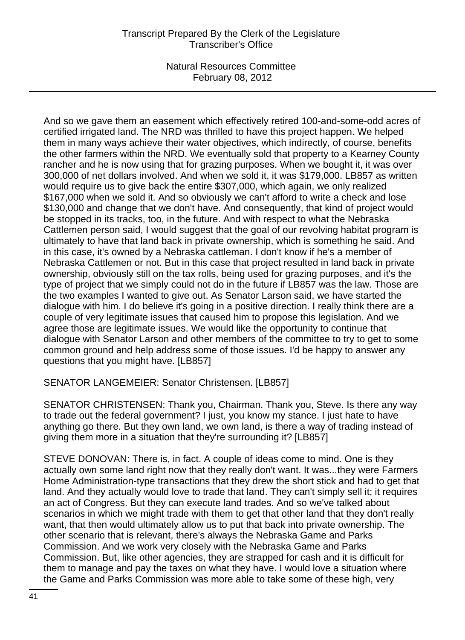# Transcript Prepared By the Clerk of the Legislature Transcriber's Office

Natural Resources Committee February 08, 2012

And so we gave them an easement which effectively retired 100-and-some-odd acres of certified irrigated land. The NRD was thrilled to have this project happen. We helped them in many ways achieve their water objectives, which indirectly, of course, benefits the other farmers within the NRD. We eventually sold that property to a Kearney County rancher and he is now using that for grazing purposes. When we bought it, it was over 300,000 of net dollars involved. And when we sold it, it was \$179,000. LB857 as written would require us to give back the entire \$307,000, which again, we only realized \$167,000 when we sold it. And so obviously we can't afford to write a check and lose \$130,000 and change that we don't have. And consequently, that kind of project would be stopped in its tracks, too, in the future. And with respect to what the Nebraska Cattlemen person said, I would suggest that the goal of our revolving habitat program is ultimately to have that land back in private ownership, which is something he said. And in this case, it's owned by a Nebraska cattleman. I don't know if he's a member of Nebraska Cattlemen or not. But in this case that project resulted in land back in private ownership, obviously still on the tax rolls, being used for grazing purposes, and it's the type of project that we simply could not do in the future if LB857 was the law. Those are the two examples I wanted to give out. As Senator Larson said, we have started the dialogue with him. I do believe it's going in a positive direction. I really think there are a couple of very legitimate issues that caused him to propose this legislation. And we agree those are legitimate issues. We would like the opportunity to continue that dialogue with Senator Larson and other members of the committee to try to get to some common ground and help address some of those issues. I'd be happy to answer any questions that you might have. [LB857]

SENATOR LANGEMEIER: Senator Christensen. [LB857]

SENATOR CHRISTENSEN: Thank you, Chairman. Thank you, Steve. Is there any way to trade out the federal government? I just, you know my stance. I just hate to have anything go there. But they own land, we own land, is there a way of trading instead of giving them more in a situation that they're surrounding it? [LB857]

STEVE DONOVAN: There is, in fact. A couple of ideas come to mind. One is they actually own some land right now that they really don't want. It was...they were Farmers Home Administration-type transactions that they drew the short stick and had to get that land. And they actually would love to trade that land. They can't simply sell it; it requires an act of Congress. But they can execute land trades. And so we've talked about scenarios in which we might trade with them to get that other land that they don't really want, that then would ultimately allow us to put that back into private ownership. The other scenario that is relevant, there's always the Nebraska Game and Parks Commission. And we work very closely with the Nebraska Game and Parks Commission. But, like other agencies, they are strapped for cash and it is difficult for them to manage and pay the taxes on what they have. I would love a situation where the Game and Parks Commission was more able to take some of these high, very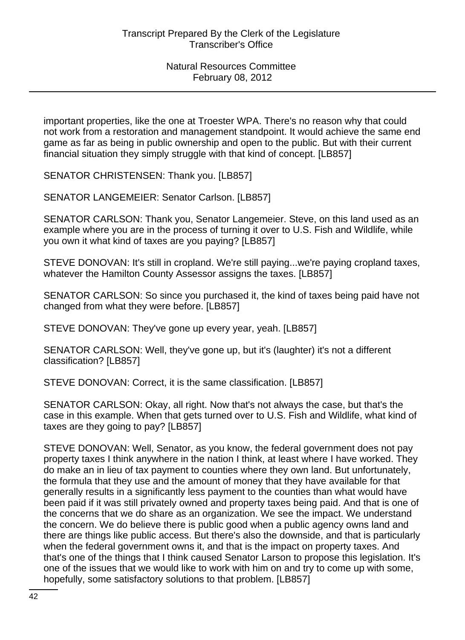important properties, like the one at Troester WPA. There's no reason why that could not work from a restoration and management standpoint. It would achieve the same end game as far as being in public ownership and open to the public. But with their current financial situation they simply struggle with that kind of concept. [LB857]

SENATOR CHRISTENSEN: Thank you. [LB857]

SENATOR LANGEMEIER: Senator Carlson. [LB857]

SENATOR CARLSON: Thank you, Senator Langemeier. Steve, on this land used as an example where you are in the process of turning it over to U.S. Fish and Wildlife, while you own it what kind of taxes are you paying? [LB857]

STEVE DONOVAN: It's still in cropland. We're still paying...we're paying cropland taxes, whatever the Hamilton County Assessor assigns the taxes. [LB857]

SENATOR CARLSON: So since you purchased it, the kind of taxes being paid have not changed from what they were before. [LB857]

STEVE DONOVAN: They've gone up every year, yeah. [LB857]

SENATOR CARLSON: Well, they've gone up, but it's (laughter) it's not a different classification? [LB857]

STEVE DONOVAN: Correct, it is the same classification. [LB857]

SENATOR CARLSON: Okay, all right. Now that's not always the case, but that's the case in this example. When that gets turned over to U.S. Fish and Wildlife, what kind of taxes are they going to pay? [LB857]

STEVE DONOVAN: Well, Senator, as you know, the federal government does not pay property taxes I think anywhere in the nation I think, at least where I have worked. They do make an in lieu of tax payment to counties where they own land. But unfortunately, the formula that they use and the amount of money that they have available for that generally results in a significantly less payment to the counties than what would have been paid if it was still privately owned and property taxes being paid. And that is one of the concerns that we do share as an organization. We see the impact. We understand the concern. We do believe there is public good when a public agency owns land and there are things like public access. But there's also the downside, and that is particularly when the federal government owns it, and that is the impact on property taxes. And that's one of the things that I think caused Senator Larson to propose this legislation. It's one of the issues that we would like to work with him on and try to come up with some, hopefully, some satisfactory solutions to that problem. [LB857]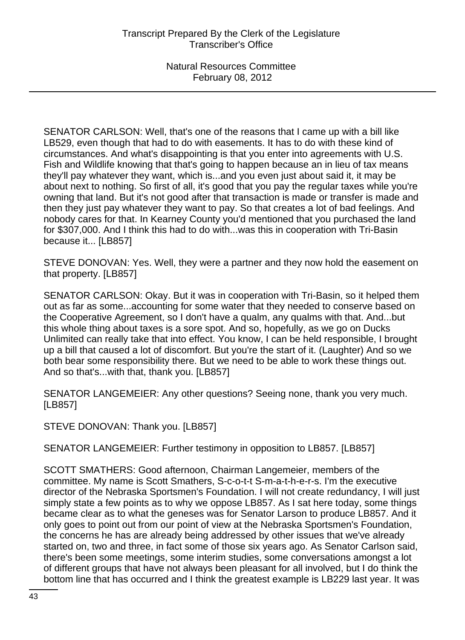SENATOR CARLSON: Well, that's one of the reasons that I came up with a bill like LB529, even though that had to do with easements. It has to do with these kind of circumstances. And what's disappointing is that you enter into agreements with U.S. Fish and Wildlife knowing that that's going to happen because an in lieu of tax means they'll pay whatever they want, which is...and you even just about said it, it may be about next to nothing. So first of all, it's good that you pay the regular taxes while you're owning that land. But it's not good after that transaction is made or transfer is made and then they just pay whatever they want to pay. So that creates a lot of bad feelings. And nobody cares for that. In Kearney County you'd mentioned that you purchased the land for \$307,000. And I think this had to do with...was this in cooperation with Tri-Basin because it... [LB857]

STEVE DONOVAN: Yes. Well, they were a partner and they now hold the easement on that property. [LB857]

SENATOR CARLSON: Okay. But it was in cooperation with Tri-Basin, so it helped them out as far as some...accounting for some water that they needed to conserve based on the Cooperative Agreement, so I don't have a qualm, any qualms with that. And...but this whole thing about taxes is a sore spot. And so, hopefully, as we go on Ducks Unlimited can really take that into effect. You know, I can be held responsible, I brought up a bill that caused a lot of discomfort. But you're the start of it. (Laughter) And so we both bear some responsibility there. But we need to be able to work these things out. And so that's...with that, thank you. [LB857]

SENATOR LANGEMEIER: Any other questions? Seeing none, thank you very much. [LB857]

STEVE DONOVAN: Thank you. [LB857]

SENATOR LANGEMEIER: Further testimony in opposition to LB857. [LB857]

SCOTT SMATHERS: Good afternoon, Chairman Langemeier, members of the committee. My name is Scott Smathers, S-c-o-t-t S-m-a-t-h-e-r-s. I'm the executive director of the Nebraska Sportsmen's Foundation. I will not create redundancy, I will just simply state a few points as to why we oppose LB857. As I sat here today, some things became clear as to what the geneses was for Senator Larson to produce LB857. And it only goes to point out from our point of view at the Nebraska Sportsmen's Foundation, the concerns he has are already being addressed by other issues that we've already started on, two and three, in fact some of those six years ago. As Senator Carlson said, there's been some meetings, some interim studies, some conversations amongst a lot of different groups that have not always been pleasant for all involved, but I do think the bottom line that has occurred and I think the greatest example is LB229 last year. It was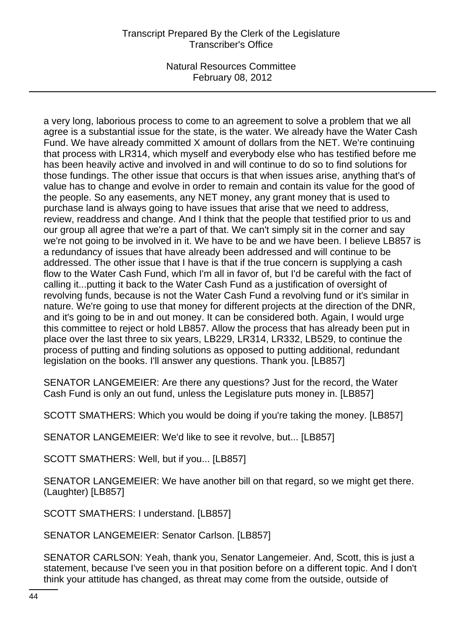# Transcript Prepared By the Clerk of the Legislature Transcriber's Office

Natural Resources Committee February 08, 2012

a very long, laborious process to come to an agreement to solve a problem that we all agree is a substantial issue for the state, is the water. We already have the Water Cash Fund. We have already committed X amount of dollars from the NET. We're continuing that process with LR314, which myself and everybody else who has testified before me has been heavily active and involved in and will continue to do so to find solutions for those fundings. The other issue that occurs is that when issues arise, anything that's of value has to change and evolve in order to remain and contain its value for the good of the people. So any easements, any NET money, any grant money that is used to purchase land is always going to have issues that arise that we need to address, review, readdress and change. And I think that the people that testified prior to us and our group all agree that we're a part of that. We can't simply sit in the corner and say we're not going to be involved in it. We have to be and we have been. I believe LB857 is a redundancy of issues that have already been addressed and will continue to be addressed. The other issue that I have is that if the true concern is supplying a cash flow to the Water Cash Fund, which I'm all in favor of, but I'd be careful with the fact of calling it...putting it back to the Water Cash Fund as a justification of oversight of revolving funds, because is not the Water Cash Fund a revolving fund or it's similar in nature. We're going to use that money for different projects at the direction of the DNR, and it's going to be in and out money. It can be considered both. Again, I would urge this committee to reject or hold LB857. Allow the process that has already been put in place over the last three to six years, LB229, LR314, LR332, LB529, to continue the process of putting and finding solutions as opposed to putting additional, redundant legislation on the books. I'll answer any questions. Thank you. [LB857]

SENATOR LANGEMEIER: Are there any questions? Just for the record, the Water Cash Fund is only an out fund, unless the Legislature puts money in. [LB857]

SCOTT SMATHERS: Which you would be doing if you're taking the money. [LB857]

SENATOR LANGEMEIER: We'd like to see it revolve, but... [LB857]

SCOTT SMATHERS: Well, but if you... [LB857]

SENATOR LANGEMEIER: We have another bill on that regard, so we might get there. (Laughter) [LB857]

SCOTT SMATHERS: I understand. [LB857]

SENATOR LANGEMEIER: Senator Carlson. [LB857]

SENATOR CARLSON: Yeah, thank you, Senator Langemeier. And, Scott, this is just a statement, because I've seen you in that position before on a different topic. And I don't think your attitude has changed, as threat may come from the outside, outside of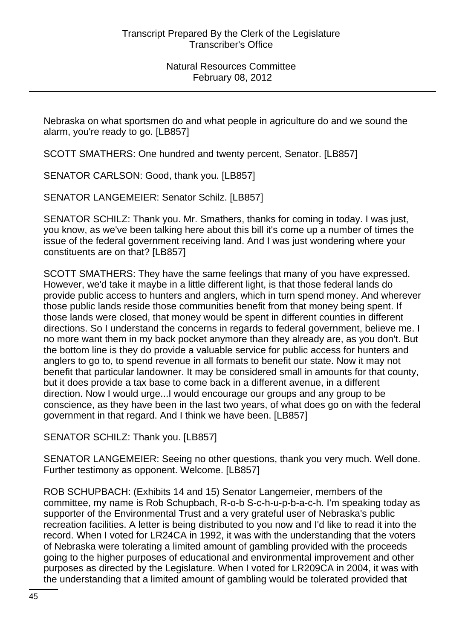Nebraska on what sportsmen do and what people in agriculture do and we sound the alarm, you're ready to go. [LB857]

SCOTT SMATHERS: One hundred and twenty percent, Senator. [LB857]

SENATOR CARLSON: Good, thank you. [LB857]

SENATOR LANGEMEIER: Senator Schilz. [LB857]

SENATOR SCHILZ: Thank you. Mr. Smathers, thanks for coming in today. I was just, you know, as we've been talking here about this bill it's come up a number of times the issue of the federal government receiving land. And I was just wondering where your constituents are on that? [LB857]

SCOTT SMATHERS: They have the same feelings that many of you have expressed. However, we'd take it maybe in a little different light, is that those federal lands do provide public access to hunters and anglers, which in turn spend money. And wherever those public lands reside those communities benefit from that money being spent. If those lands were closed, that money would be spent in different counties in different directions. So I understand the concerns in regards to federal government, believe me. I no more want them in my back pocket anymore than they already are, as you don't. But the bottom line is they do provide a valuable service for public access for hunters and anglers to go to, to spend revenue in all formats to benefit our state. Now it may not benefit that particular landowner. It may be considered small in amounts for that county, but it does provide a tax base to come back in a different avenue, in a different direction. Now I would urge...I would encourage our groups and any group to be conscience, as they have been in the last two years, of what does go on with the federal government in that regard. And I think we have been. [LB857]

SENATOR SCHILZ: Thank you. [LB857]

SENATOR LANGEMEIER: Seeing no other questions, thank you very much. Well done. Further testimony as opponent. Welcome. [LB857]

ROB SCHUPBACH: (Exhibits 14 and 15) Senator Langemeier, members of the committee, my name is Rob Schupbach, R-o-b S-c-h-u-p-b-a-c-h. I'm speaking today as supporter of the Environmental Trust and a very grateful user of Nebraska's public recreation facilities. A letter is being distributed to you now and I'd like to read it into the record. When I voted for LR24CA in 1992, it was with the understanding that the voters of Nebraska were tolerating a limited amount of gambling provided with the proceeds going to the higher purposes of educational and environmental improvement and other purposes as directed by the Legislature. When I voted for LR209CA in 2004, it was with the understanding that a limited amount of gambling would be tolerated provided that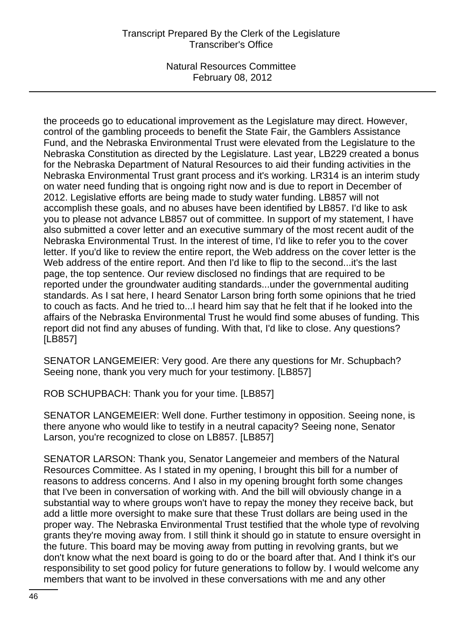## Transcript Prepared By the Clerk of the Legislature Transcriber's Office

Natural Resources Committee February 08, 2012

the proceeds go to educational improvement as the Legislature may direct. However, control of the gambling proceeds to benefit the State Fair, the Gamblers Assistance Fund, and the Nebraska Environmental Trust were elevated from the Legislature to the Nebraska Constitution as directed by the Legislature. Last year, LB229 created a bonus for the Nebraska Department of Natural Resources to aid their funding activities in the Nebraska Environmental Trust grant process and it's working. LR314 is an interim study on water need funding that is ongoing right now and is due to report in December of 2012. Legislative efforts are being made to study water funding. LB857 will not accomplish these goals, and no abuses have been identified by LB857. I'd like to ask you to please not advance LB857 out of committee. In support of my statement, I have also submitted a cover letter and an executive summary of the most recent audit of the Nebraska Environmental Trust. In the interest of time, I'd like to refer you to the cover letter. If you'd like to review the entire report, the Web address on the cover letter is the Web address of the entire report. And then I'd like to flip to the second...it's the last page, the top sentence. Our review disclosed no findings that are required to be reported under the groundwater auditing standards...under the governmental auditing standards. As I sat here, I heard Senator Larson bring forth some opinions that he tried to couch as facts. And he tried to...I heard him say that he felt that if he looked into the affairs of the Nebraska Environmental Trust he would find some abuses of funding. This report did not find any abuses of funding. With that, I'd like to close. Any questions? [LB857]

SENATOR LANGEMEIER: Very good. Are there any questions for Mr. Schupbach? Seeing none, thank you very much for your testimony. [LB857]

ROB SCHUPBACH: Thank you for your time. [LB857]

SENATOR LANGEMEIER: Well done. Further testimony in opposition. Seeing none, is there anyone who would like to testify in a neutral capacity? Seeing none, Senator Larson, you're recognized to close on LB857. [LB857]

SENATOR LARSON: Thank you, Senator Langemeier and members of the Natural Resources Committee. As I stated in my opening, I brought this bill for a number of reasons to address concerns. And I also in my opening brought forth some changes that I've been in conversation of working with. And the bill will obviously change in a substantial way to where groups won't have to repay the money they receive back, but add a little more oversight to make sure that these Trust dollars are being used in the proper way. The Nebraska Environmental Trust testified that the whole type of revolving grants they're moving away from. I still think it should go in statute to ensure oversight in the future. This board may be moving away from putting in revolving grants, but we don't know what the next board is going to do or the board after that. And I think it's our responsibility to set good policy for future generations to follow by. I would welcome any members that want to be involved in these conversations with me and any other